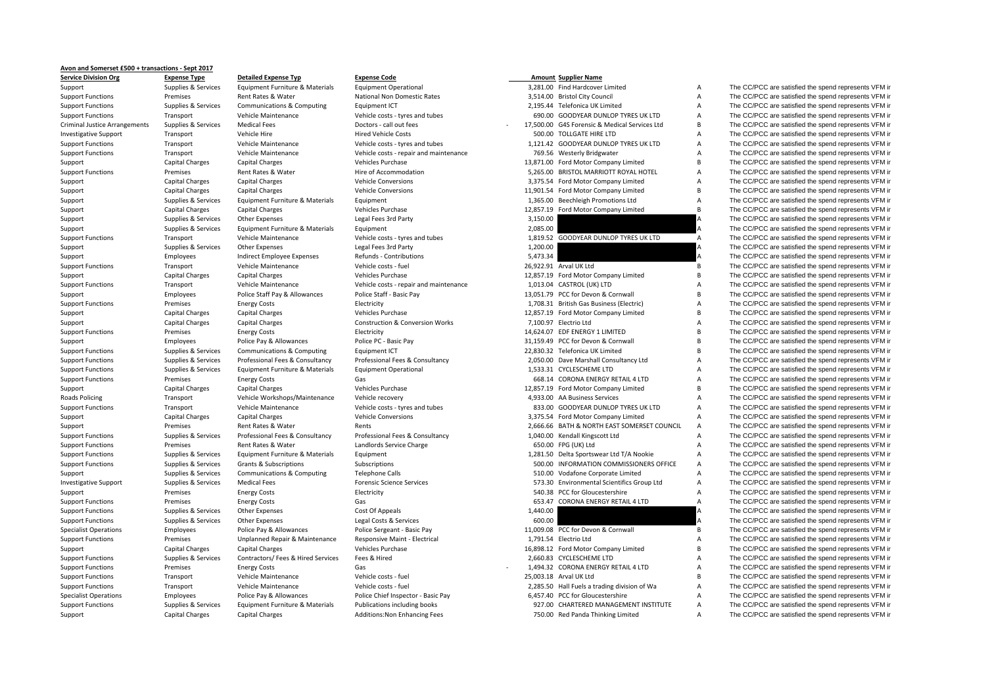## **Avon and Somerset £500 <sup>+</sup> transactions ‐ Sept 2017**

**Service Division**Criminal Justice**Roads Policing** 

**CORPENSIAS CRIMED EXPENSE CODE**<br> **Cunnilies & Services Coulinment Furniture & Materials Equipment Operational CONSIAS 2009 Expense CONSIAS EXPIRER 1999** Support Supplies & Services Faujoment Furniture & Materials Faujoment Operational 3,281.00 Find Hardcover Limited A The CC/PCC are satisfied the spend represents VFM in

| 3,281.00  | Find Hardcover Limited                                        |
|-----------|---------------------------------------------------------------|
|           | 3,514.00 Bristol City Council                                 |
|           | 2,195.44 Telefonica UK Limited                                |
|           | 690.00 GOODYEAR DUNLOP TYRES UK LTD                           |
|           | 17,500.00 G4S Forensic & Medical Services Ltd                 |
|           | 500.00 TOLLGATE HIRE LTD                                      |
|           | 1,121.42 GOODYEAR DUNLOP TYRES UK LTD                         |
|           | 769.56 Westerly Bridgwater                                    |
|           | 13,871.00 Ford Motor Company Limited                          |
|           | 5,265.00 BRISTOL MARRIOTT ROYAL HOTEL                         |
|           | 3,375.54 Ford Motor Company Limited                           |
|           | 1,901.54 Ford Motor Company Limited                           |
|           | 1,365.00 Beechleigh Promotions Ltd                            |
| 12,857.19 | Ford Motor Company Limited                                    |
| 3,150.00  |                                                               |
| 2,085.00  |                                                               |
| 1,819.52  | GOODYEAR DUNLOP TYRES UK LTD                                  |
| 1,200.00  |                                                               |
| 5,473.34  |                                                               |
|           | 26,922.91 Arval UK Ltd                                        |
|           | 12,857.19 Ford Motor Company Limited                          |
|           | 1,013.04 CASTROL (UK) LTD                                     |
|           | 13,051.79 PCC for Devon & Cornwall                            |
|           | 1,708.31 British Gas Business (Electric)                      |
|           | 12,857.19 Ford Motor Company Limited                          |
|           | 7,100.97 Electrio Ltd                                         |
|           | 4,624.07 EDF ENERGY 1 LIMITED                                 |
|           | 31,159.49 PCC for Devon & Cornwall                            |
| 2,830.32  | Telefonica UK Limited                                         |
|           | 2,050.00 Dave Marshall Consultancy Ltd                        |
|           | 1,533.31 CYCLESCHEME LTD<br>668.14 CORONA ENERGY RETAIL 4 LTD |
|           | 12,857.19 Ford Motor Company Limited                          |
|           | 4,933.00 AA Business Services                                 |
|           | 833.00 GOODYEAR DUNLOP TYRES UK LTD                           |
|           | 3,375.54 Ford Motor Company Limited                           |
|           | 2,666.66 BATH & NORTH EAST SOMERSET COUNCIL                   |
|           | 1,040.00 Kendall Kingscott Ltd                                |
|           | 650.00 FPG (UK) Ltd                                           |
|           | 1,281.50 Delta Sportswear Ltd T/A Nookie                      |
|           | 500.00 INFORMATION COMMISSIONERS OFFICE                       |
|           | 510.00 Vodafone Corporate Limited                             |
|           | 573.30 Environmental Scientifics Group Ltd                    |
| 540.38    | PCC for Gloucestershire                                       |
| 653.47    | CORONA ENERGY RETAIL 4 LTD                                    |
| 1,440.00  |                                                               |
| 600.00    |                                                               |
|           | 1,009.08 PCC for Devon & Cornwall                             |
|           | 1,791.54 Electrio Ltd                                         |
|           | 16,898.12 Ford Motor Company Limited                          |
|           | 2,660.83 CYCLESCHEME LTD                                      |
|           | 1,494.32 CORONA ENERGY RETAIL 4 LTD                           |
|           | 25,003.18 Arval UK Ltd                                        |
|           | 2,285.50 Hall Fuels a trading division of Wa                  |
|           | 6,457.40 PCC for Gloucestershire                              |
|           | 927.00 CHARTERED MANAGEMENT INSTITUTE                         |
|           | 750.00 Red Panda Thinking Limited                             |

Support Functions Premises Premises Rent Rates & Water National Non Domestic Rates 3,514.00 Bristol City Council A The CC/PCC are satisfied the spend represents VFM in Support Functions Secure Communications & Computing Eq Support Functions Supplies & Services Communications & Computing Equipment ICT 2,195.44 Telefonica UK Limited A The CC/PCC are satisfied the spend represents VFM in Vehicle Maintenance Vehicle Costs a types and tubes and t Support Functions Transport Vehicle Maintenance Vehicle costs – tyres and tubes 690.00 GOODYEAR DUNLOP TYRES UK LTD A The CC/PCC are satisfied the spend represents VFM in Supplies & Services Medical Fees Doctors - call out fees 17,500.00 G4S Forensic & Medical Services Ltd B The CC/PCC are satisfied the spend represents VFM in Investigative Support Transport Vehicle Hire Vehicle Hire Hired Vehicle Costs and tubes 500.00 TOLLGATE HIRE LTD A The CC/PCC are satisfied the spend represents VFM in Vehicle Costs Vehicle Costs vers and tubes 1121 42 GOO Support Functions Transport Vehicle Maintenance Vehicle costs - tyres and tubes 1,121.42 GOODYEAR DUNLOP TYRES UK LTD A The CC/PCC are satisfied the spend represents VFM in Support Functions Transport Vehicle Maintenance Vehicle costs - repair and maintenance 769.56 Westerly Bridgwater A The CC/PCC are satisfied the spend represents VFM in Support Capital Charges Capital Charges Vehicles Purchase Vehicles Purchase 13,871.00 Ford Motor Company Limited B The CC/PCC are satisfied the spend represents VFM in Support Functions Premises Rent Rates & Water Hire of Accommodation Hire of Accommodation 5,265.00 BRISTOL MARRIOTT ROYAL HOTEL A The CC/PCC are satisfied the spend represents VFM in Support Capital Charges Capital Charges Vehicle Conversions Vehicle Conversions 3,375.54 Ford Motor Company Limited A The CC/PCC are satisfied the spend represents VFM in Support Capital Charges Capital Charges Vehicle Conversions Vehicle Conversions 11,901.54 Ford Motor Company Limited B The CC/PCC are satisfied the spend represents VFM in Support Supplies & Services Equipment Furniture & Materials Equipment 1,365.00 Beechleigh Promotions Ltd A The CC/PCC are satisfied the spend represents VFM in Support Capital Charges Capital Charges Capital Charges Vehicles Purchase Vehicles Purchase 12,857.19 Ford Motor Company Limited B The CC/PCC are satisfied the spend represents VFM in<br>Support Supplies & Services Other Expe Support Supplies & Services Other Expenses Legal Fees 3rd Party 3,150.00 3,150.00 A The CC/PCC are satisfied the spend represents VFM in Support Supplies & Services Equipment Furniture & Materials Equipment 2,085.00 2,085.00 A The CC/PCC are satisfied the spend represents VFM in Support Functions Transport Vehicle Maintenance Vehicle costs - tyres and tubes 1,819.52 GOODYEAR DUNLOP TYRES UK LTD A The CC/PCC are satisfied the spend represents VFM in Support Supplies & Services Other Expenses Legal Fees 3rd Party 1,200.00 1,200.00 A The CC/PCC are satisfied the spend represents VFM in Support Employees Indirect Employee Expenses Refunds - Contributions 5,473.34 5,473.34 A The CC/PCC are satisfied the spend represents VFM in Support Functions Transport Vehicle Maintenance Vehicle costs - fuel 26,922.91 Arval UK Ltd B The CC/PCC are satisfied the spend represents VFM in Support Capital Charges Capital Charges Vehicles Purchase Vehicles Purchase 12,857.19 Ford Motor Company Limited B The CC/PCC are satisfied the spend represents VFM in Support Functions Transport Vehicle Maintenance Vehicle costs - repair and maintenance 1,013.04 CASTROL (UK) LTD A The CC/PCC are satisfied the spend represents VFM in Support Employees Police Staff Pay & Allowances Police Staff - Basic Pay 13,051.79 PCC for Devon & Cornwall B The CC/PCC are satisfied the spend represents VFM in Support Functions Premises Energy Costs Electricity Electricity Electricity and the Spend represents VFM in the CC/PCC are satisfied the spend represents VFM in Support Capital Charges Capital Charges Vehicles Purchase Vehicles Purchase 12,857.19 Ford Motor Company Limited B The CC/PCC are satisfied the spend represents VFM in Support Capital Charges Capital Charges Construction & Conversion Works 7,100.97 Electrio Ltd A The CC/PCC are satisfied the spend represents VFM in Support Functions Premises Energy Costs Electricity Electricity and the Support Electricity 14,624.07 EDF ENERGY 1 LIMITED B The CC/PCC are satisfied the spend represents VFM in Support Employees Police Pay & Allowances Police PC - Basic Pay 31,159.49 PCC for Devon & Cornwall B The CC/PCC are satisfied the spend represents VFM in Support Functions Supplies & Services Communications & Computing Faultoment ICT 22,830.32 Telefonica UK Limited B The CC/PCC are satisfied the spend represents VFM in Support Functions Supplies & Services Professional Fees & Consultancy Professional Fees & Consultancy 2,050.00 Dave Marshall Consultancy Ltd A The CC/PCC are satisfied the spend represents VFM in Support Functions Supplies & Services Equipment Furniture & Materials Equipment Operational 1,533.31 CYCLESCHEME LTD A The CC/PCC are satisfied the spend represents VFM in Support Functions Premises Energy Costs Gas Gas Gas CORONA ENERGY RETAIL 4 LTD A The CC/PCC are satisfied the spend represents VFM in Support Capital Charges Capital Charges Vehicles Purchase Vehicles Purchase 12,857.19 Ford Motor Company Limited B The CC/PCC are satisfied the spend represents VFM in Transport Vehicle Workshops/Maintenance Vehicle recovery a Satisfied the Spend represents VFM in The CC/PCC are satisfied the spend represents VFM in Support Functions Transport Vehicle Maintenance Vehicle costs - tyres and tubes 833.00 GOODYEAR DUNLOP TYRES UK LTD A The CC/PCC are satisfied the spend represents VFM in Support Capital Charges Capital Charges Vehicle Conversions Vehicle Conversions 3,375.54 Ford Motor Company Limited A The CC/PCC are satisfied the spend represents VFM in Support Premises Premises Rent Rates & Water Rents Rents Rents Rents Rents 2,666.66 BATH & NORTH EAST SOMERSET COUNCIL A The CC/PCC are satisfied the spend represents VFM in Support Professional Fees & Consultancy Professi Support Functions Supplies & Services Professional Fees & Consultancy Professional Fees & Consultancy Professional Fees & Consultancy 1,040.00 Kendall Kingscott Ltd A The CC/PCC are satisfied the spend represents VFM in Support Functions Premises Premises Rent Rates & Water Landlords Service Charge Clarge 650.00 FPG (UK) Ltd A The CC/PCC are satisfied the spend represents VFM in Support Functions Support Functions Support Support Support Support Functions Supplies & Services Foulyment Furniture & Materials Foulyment 1,281.50 Delta Sportswear Ltd T/A Nookie A The CC/PCC are satisfied the spend represents VFM in Support Functions Supplies & Services Grants & Subscriptions Subscriptions Subscriptions Support Support The CC/PCC are satisfied the spend represents VFM in Support Supplies & Services Communications & Computing Telephone Calls 510.00 Vodafone Corporate Limited A The CC/PCC are satisfied the spend represents VFM in Investigative Support Supplies & Services Medical Fees Forensic Science Services Forensic Science Services 573.30 Environmental Scientifics Group Ltd A The CC/PCC are satisfied the spend represents VFM in Support The CC/PCC are satisfied the spend represents VFM in Electricity Electricity S40.38 PCC for Gloucestershire A The CC/PCC are satisfied the spend represents VFM in Support Functions Premises Energy Costs Gas Gas Cases Content Content Content Content Content of the CC/PCC are satisfied the spend represents VFM in Support Functions Supplies & Services Other Expenses Cost Of Appeals Cost Of Appeals 1,440.00 A The CC/PCC are satisfied the spend represents VFM in Support Functions Supplies & Services Other Expenses Legal Costs & Services Legal Costs & Services 600.00 600.00 A The CC/PCC are satisfied the spend represents VFM in Specialist Operations Employees Police Pay & Allowances Police Sergeant - Basic Pay 11,009.08 PCC for Devon & Cornwall B The CC/PCC are satisfied the spend represents VFM in Support Functions Premises Unplanned Repair & Maintenance Responsive Maint - Electrical 1,791.54 Electrio Ltd A The CC/PCC are satisfied the spend represents VFM in Support Capital Charges Capital Charges Vehicles Purchase Vehicles Purchase 16,898.12 Ford Motor Company Limited B The CC/PCC are satisfied the spend represents VFM in Support Functions Supplies & Services Contractors/ Fees & Hired Services Fees & Hired 2,660.83 CYCLESCHEME LTD A The CC/PCC are satisfied the spend represents VFM in Support Functions Premises Fuergy Costs Gas Gas CORONA ENERGY RETAIL 4 LTD A The CC/PCC are satisfied the spend represents VFM in Support Functions Transport Vehicle Maintenance Vehicle costs - fuel 25,003.18 Arval UK Ltd B The CC/PCC are satisfied the spend represents VFM in Support Functions Transport Vehicle Maintenance Vehicle costs - fuel 2,285.50 Hall Fuels a trading division of Wa A The CC/PCC are satisfied the spend represents VFM in Specialist Operations Employees Police Pay & Allowances Police Chief Inspector - Basic Pay 6,457.40 PCC for Gloucestershire A The CC/PCC are satisfied the spend represents VFM in Support Functions Supplies & Services Equipment Furniture & Materials Publications including books 927.00 CHARTERED MANAGEMENT INSTITUTE A The CC/PCC are satisfied the spend represents VFM in Support Capital Charges Capital Charges Additions:Non Enhancing Fees 750.00 Red Panda Thinking Limited A The CC/PCC are satisfied the spend represents VFM in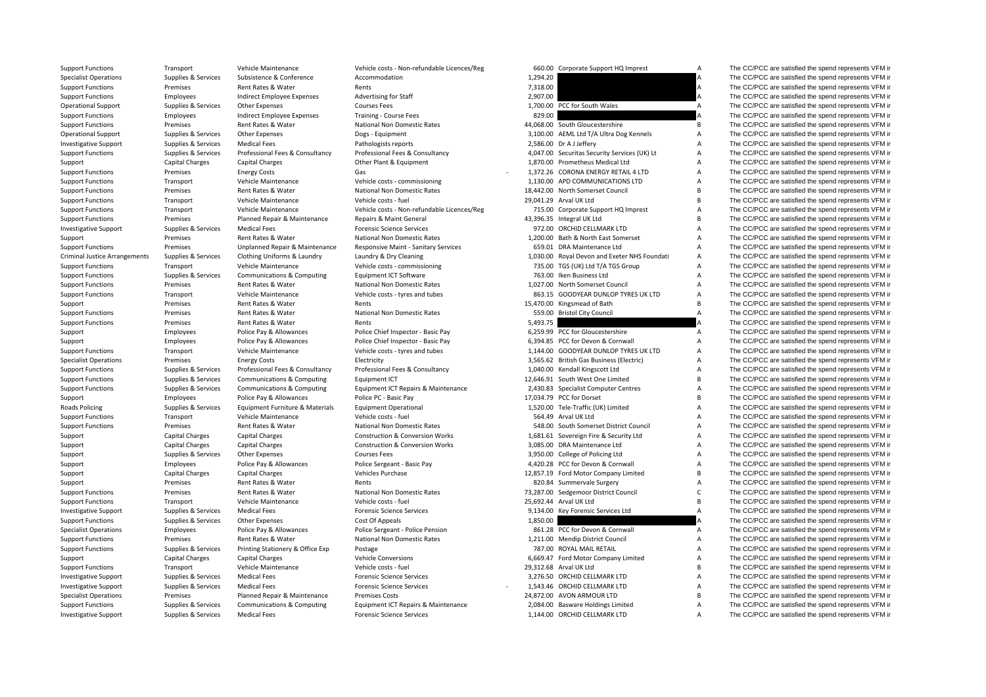| <b>Support Functions</b>             | Transport              | Vehicle Maintenance                   | Vehicle costs - Non-refundable Licences/Reg |          | 660.00 Corporate Support HQ Imprest          | A              | The CC/PCC are satisfied the spend represents VFM is    |
|--------------------------------------|------------------------|---------------------------------------|---------------------------------------------|----------|----------------------------------------------|----------------|---------------------------------------------------------|
| <b>Specialist Operations</b>         | Supplies & Services    | Subsistence & Conference              | Accommodation                               | 1,294.20 |                                              | А              | The CC/PCC are satisfied the spend represents VFM in    |
| <b>Support Functions</b>             | Premises               | Rent Rates & Water                    | Rents                                       | 7,318.00 |                                              | A              | The CC/PCC are satisfied the spend represents VFM in    |
| <b>Support Functions</b>             | Employees              | Indirect Employee Expenses            | <b>Advertising for Staff</b>                | 2,907.00 |                                              |                | The CC/PCC are satisfied the spend represents VFM ir    |
| <b>Operational Support</b>           | Supplies & Services    | Other Expenses                        | <b>Courses Fees</b>                         |          | 1,700.00 PCC for South Wales                 | A              | The CC/PCC are satisfied the spend represents VFM in    |
| <b>Support Functions</b>             | Employees              | Indirect Employee Expenses            | <b>Training - Course Fees</b>               | 829.00   |                                              |                | The CC/PCC are satisfied the spend represents VFM in    |
| <b>Support Functions</b>             | Premises               | Rent Rates & Water                    | <b>National Non Domestic Rates</b>          |          | 44,068.00 South Gloucestershire              | B              | The CC/PCC are satisfied the spend represents VFM ir    |
| <b>Operational Support</b>           | Supplies & Services    | Other Expenses                        | Dogs - Equipment                            |          | 3,100.00 AEML Ltd T/A Ultra Dog Kennels      | Α              | The CC/PCC are satisfied the spend represents VFM in    |
| <b>Investigative Support</b>         | Supplies & Services    | <b>Medical Fees</b>                   | Pathologists reports                        |          | 2,586.00 Dr A J Jeffery                      | A              | The CC/PCC are satisfied the spend represents VFM in    |
| <b>Support Functions</b>             | Supplies & Services    | Professional Fees & Consultancy       | Professional Fees & Consultancy             |          | 4,047.00 Securitas Security Services (UK) Lt | Α              | The CC/PCC are satisfied the spend represents VFM in    |
| Support                              | Capital Charges        | <b>Capital Charges</b>                | Other Plant & Equipment                     |          | 1,870.00 Prometheus Medical Ltd              | А              | The CC/PCC are satisfied the spend represents VFM in    |
| <b>Support Functions</b>             | Premises               | <b>Energy Costs</b>                   | Gas                                         |          | 1,372.26 CORONA ENERGY RETAIL 4 LTD          | A              | The CC/PCC are satisfied the spend represents VFM in    |
| <b>Support Functions</b>             | Transport              | Vehicle Maintenance                   | Vehicle costs - commissioning               |          | 1.130.00 APD COMMUNICATIONS LTD              | A              | The CC/PCC are satisfied the spend represents VFM in    |
| <b>Support Functions</b>             | Premises               | Rent Rates & Water                    | National Non Domestic Rates                 |          | 18.442.00 North Somerset Council             | B              | The CC/PCC are satisfied the spend represents VFM in    |
| <b>Support Functions</b>             | Transport              | Vehicle Maintenance                   | Vehicle costs - fuel                        |          | 29.041.29 Arval UK Ltd                       | B              | The CC/PCC are satisfied the spend represents VFM in    |
| <b>Support Functions</b>             | Transport              | Vehicle Maintenance                   | Vehicle costs - Non-refundable Licences/Reg |          | 715.00 Corporate Support HQ Imprest          | Α              | The CC/PCC are satisfied the spend represents VFM in    |
| <b>Support Functions</b>             | Premises               | Planned Repair & Maintenance          | Repairs & Maint General                     |          | 43,396.35 Integral UK Ltd                    | B              | The CC/PCC are satisfied the spend represents VFM in    |
| <b>Investigative Support</b>         | Supplies & Services    | <b>Medical Fees</b>                   | <b>Forensic Science Services</b>            |          | 972.00 ORCHID CELLMARK LTD                   | A              | The CC/PCC are satisfied the spend represents VFM ir    |
|                                      | Premises               | Rent Rates & Water                    | National Non Domestic Rates                 |          | 1,200.00 Bath & North East Somerset          | Α              | The CC/PCC are satisfied the spend represents VFM in    |
| Support                              |                        |                                       |                                             |          |                                              | A              | The CC/PCC are satisfied the spend represents VFM in    |
| <b>Support Functions</b>             | Premises               | Unplanned Repair & Maintenance        | Responsive Maint - Sanitary Services        |          | 659.01 DRA Maintenance Ltd                   |                |                                                         |
| <b>Criminal Justice Arrangements</b> | Supplies & Services    | Clothing Uniforms & Laundry           | Laundry & Dry Cleaning                      |          | 1,030.00 Royal Devon and Exeter NHS Foundati | A              | The CC/PCC are satisfied the spend represents VFM in    |
| <b>Support Functions</b>             | Transport              | Vehicle Maintenance                   | Vehicle costs - commissioning               |          | 735.00 TGS (UK) Ltd T/A TGS Group            | A              | The CC/PCC are satisfied the spend represents VFM in    |
| <b>Support Functions</b>             | Supplies & Services    | <b>Communications &amp; Computing</b> | Equipment ICT Software                      |          | 763.00 Iken Business Ltd                     | A              | The CC/PCC are satisfied the spend represents VFM in    |
| <b>Support Functions</b>             | Premises               | Rent Rates & Water                    | <b>National Non Domestic Rates</b>          |          | 1,027.00 North Somerset Council              | Α              | The CC/PCC are satisfied the spend represents VFM in    |
| <b>Support Functions</b>             | Transport              | Vehicle Maintenance                   | Vehicle costs - tyres and tubes             |          | 863.15 GOODYEAR DUNLOP TYRES UK LTD          | А              | The CC/PCC are satisfied the spend represents VFM ir    |
| Support                              | Premises               | Rent Rates & Water                    | Rents                                       |          | 15,470.00 Kingsmead of Bath                  | B              | The CC/PCC are satisfied the spend represents VFM in    |
| <b>Support Functions</b>             | Premises               | Rent Rates & Water                    | National Non Domestic Rates                 |          | 559.00 Bristol City Council                  | $\overline{A}$ | The CC/PCC are satisfied the spend represents VFM in    |
| <b>Support Functions</b>             | Premises               | Rent Rates & Water                    | Rents                                       | 5,493.75 |                                              |                | The CC/PCC are satisfied the spend represents VFM in    |
| Support                              | Employees              | Police Pay & Allowances               | Police Chief Inspector - Basic Pay          |          | 6,259.99 PCC for Gloucestershire             | Α              | The CC/PCC are satisfied the spend represents VFM in    |
| Support                              | Employees              | Police Pay & Allowances               | Police Chief Inspector - Basic Pay          |          | 6.394.85 PCC for Devon & Cornwall            | A              | The CC/PCC are satisfied the spend represents VFM in    |
| <b>Support Functions</b>             | Transport              | Vehicle Maintenance                   | Vehicle costs - tyres and tubes             |          | 1,144.00 GOODYEAR DUNLOP TYRES UK LTD        | A              | The CC/PCC are satisfied the spend represents VFM in    |
| <b>Specialist Operations</b>         | Premises               | <b>Energy Costs</b>                   | Electricity                                 |          | 3,565.62 British Gas Business (Electric)     | A              | The CC/PCC are satisfied the spend represents VFM in    |
| <b>Support Functions</b>             | Supplies & Services    | Professional Fees & Consultancy       | Professional Fees & Consultancy             |          | 1,040.00 Kendall Kingscott Ltd               | Α              | The CC/PCC are satisfied the spend represents VFM in    |
| <b>Support Functions</b>             | Supplies & Services    | Communications & Computing            | Equipment ICT                               |          | 12,646.91 South West One Limited             | В              | The CC/PCC are satisfied the spend represents VFM in    |
| <b>Support Functions</b>             | Supplies & Services    | Communications & Computing            | Equipment ICT Repairs & Maintenance         |          | 2,430.83 Specialist Computer Centres         | A              | The CC/PCC are satisfied the spend represents VFM in    |
| Support                              | Employees              | Police Pay & Allowances               | Police PC - Basic Pay                       |          | 17,034.79 PCC for Dorset                     | B              | The CC/PCC are satisfied the spend represents VFM in    |
| Roads Policing                       | Supplies & Services    | Equipment Furniture & Materials       | <b>Equipment Operational</b>                |          | 1,520.00 Tele-Traffic (UK) Limited           | A              | The CC/PCC are satisfied the spend represents VFM in    |
| <b>Support Functions</b>             | Transport              | Vehicle Maintenance                   | Vehicle costs - fuel                        |          | 564.49 Arval UK Ltd                          | A              | The CC/PCC are satisfied the spend represents VFM in    |
| <b>Support Functions</b>             | Premises               | Rent Rates & Water                    | <b>National Non Domestic Rates</b>          |          | 548.00 South Somerset District Council       | A              | The CC/PCC are satisfied the spend represents VFM in    |
| Support                              | Capital Charges        | <b>Capital Charges</b>                | <b>Construction &amp; Conversion Works</b>  |          | 1,681.61 Sovereign Fire & Security Ltd       | A              | The CC/PCC are satisfied the spend represents VFM in    |
| Support                              | Capital Charges        | <b>Capital Charges</b>                | <b>Construction &amp; Conversion Works</b>  |          | 3,085.00 DRA Maintenance Ltd                 | А              | The CC/PCC are satisfied the spend represents VFM in    |
| Support                              | Supplies & Services    | Other Expenses                        | <b>Courses Fees</b>                         |          | 3,950.00 College of Policing Ltd             | А              | The CC/PCC are satisfied the spend represents VFM in    |
| Support                              | Employees              | Police Pay & Allowances               | Police Sergeant - Basic Pay                 |          | 4,420.28 PCC for Devon & Cornwall            | А              | The CC/PCC are satisfied the spend represents VFM ir    |
| Support                              | Capital Charges        | <b>Capital Charges</b>                | Vehicles Purchase                           |          | 12,857.19 Ford Motor Company Limited         | B              | The CC/PCC are satisfied the spend represents VFM in    |
| Support                              | Premises               | Rent Rates & Water                    | Rents                                       |          | 820.84 Summervale Surgery                    | A              | The CC/PCC are satisfied the spend represents VFM in    |
| <b>Support Functions</b>             | Premises               | Rent Rates & Water                    | National Non Domestic Rates                 |          | 73,287.00 Sedgemoor District Council         | Ċ              | The CC/PCC are satisfied the spend represents VFM in    |
| <b>Support Functions</b>             | Transport              | Vehicle Maintenance                   | Vehicle costs - fuel                        |          | 25,692.44 Arval UK Ltd                       | B              | The CC/PCC are satisfied the spend represents VFM in    |
| <b>Investigative Support</b>         | Supplies & Services    | <b>Medical Fees</b>                   | <b>Forensic Science Services</b>            |          | 9,134.00 Key Forensic Services Ltd           | A              | The CC/PCC are satisfied the spend represents VFM in    |
|                                      | Supplies & Services    |                                       |                                             | 1,850.00 |                                              |                | The CC/PCC are satisfied the spend represents VFM in    |
| <b>Support Functions</b>             |                        | Other Expenses                        | Cost Of Appeals                             |          |                                              |                |                                                         |
| <b>Specialist Operations</b>         | Employees              | Police Pay & Allowances               | Police Sergeant - Police Pension            |          | 861.28 PCC for Devon & Cornwall              | Α              | The CC/PCC are satisfied the spend represents VFM ir    |
| <b>Support Functions</b>             | Premises               | Rent Rates & Water                    | National Non Domestic Rates                 |          | 1,211.00 Mendip District Council             | Α              | The CC/PCC are satisfied the spend represents VFM in    |
| <b>Support Functions</b>             | Supplies & Services    | Printing Stationery & Office Exp      | Postage                                     |          | 787.00 ROYAL MAIL RETAIL                     | A              | The CC/PCC are satisfied the spend represents VFM in    |
| Support                              | <b>Capital Charges</b> | Capital Charges                       | <b>Vehicle Conversions</b>                  |          | 6,669.47 Ford Motor Company Limited          | A              | The CC/PCC are satisfied the spend represents VFM in    |
| <b>Support Functions</b>             | Transport              | Vehicle Maintenance                   | Vehicle costs - fuel                        |          | 29,312.68 Arval UK Ltd                       | B              | The CC/PCC are satisfied the spend represents VFM in    |
| <b>Investigative Support</b>         | Supplies & Services    | <b>Medical Fees</b>                   | <b>Forensic Science Services</b>            |          | 3,276.50 ORCHID CELLMARK LTD                 | A              | The CC/PCC are satisfied the spend represents VFM in    |
| <b>Investigative Support</b>         | Supplies & Services    | <b>Medical Fees</b>                   | <b>Forensic Science Services</b>            |          | 1,543.46 ORCHID CELLMARK LTD                 | Α              | The CC/PCC are satisfied the spend represents VFM in    |
| <b>Specialist Operations</b>         | Premises               | Planned Repair & Maintenance          | <b>Premises Costs</b>                       |          | 24,872.00 AVON ARMOUR LTD                    | B              | The CC/PCC are satisfied the spend represents VFM ir    |
| <b>Support Functions</b>             | Supplies & Services    | <b>Communications &amp; Computing</b> | Equipment ICT Repairs & Maintenance         |          | 2,084.00 Basware Holdings Limited            | A              | The CC/PCC are satisfied the spend represents VFM in    |
| Introduction Criminal                | Cunning P. Condons     | Modical Food                          | Foroncia Coionna Comúnac                    |          | 1.144.00 ODCUID CELLMANN LTD                 |                | The CC/DCC are estiglished the appeal represents VEM in |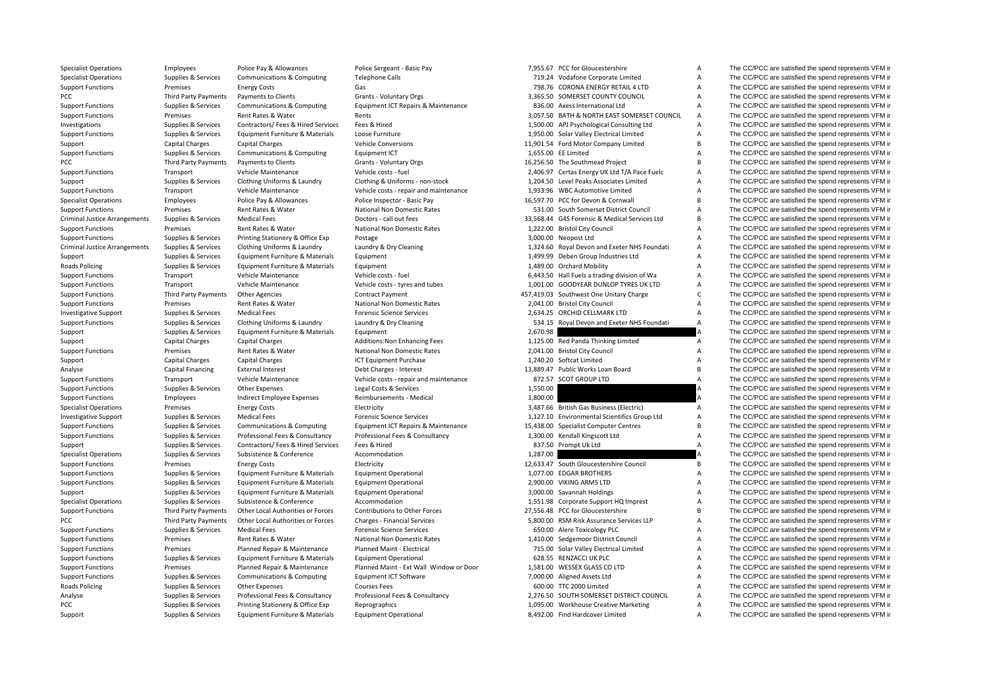| <b>Specialist Operations</b>         | Employees                   | Police Pay & Allowances               | Police Sergeant - Basic Pay             |          | 7,955.67 PCC for Gloucestershire              | A              | The CC/PCC are satisfied the spend represents VFM in |
|--------------------------------------|-----------------------------|---------------------------------------|-----------------------------------------|----------|-----------------------------------------------|----------------|------------------------------------------------------|
| <b>Specialist Operations</b>         | Supplies & Services         | Communications & Computing            | <b>Telephone Calls</b>                  |          | 719.24 Vodafone Corporate Limited             | A              | The CC/PCC are satisfied the spend represents VFM in |
| <b>Support Functions</b>             | Premises                    | <b>Energy Costs</b>                   | Gas                                     |          | 798.76 CORONA ENERGY RETAIL 4 LTD             | A              | The CC/PCC are satisfied the spend represents VFM in |
| PCC                                  | Third Party Payments        | Payments to Clients                   | Grants - Voluntary Orgs                 |          | 3.365.50 SOMERSET COUNTY COUNCIL              | Α              | The CC/PCC are satisfied the spend represents VFM in |
| <b>Support Functions</b>             | Supplies & Services         | Communications & Computing            | Equipment ICT Repairs & Maintenance     |          | 836.00 Axess International Ltd                | $\overline{A}$ | The CC/PCC are satisfied the spend represents VFM in |
| <b>Support Functions</b>             | Premises                    | Rent Rates & Water                    | Rents                                   |          | 3,057.50 BATH & NORTH EAST SOMERSET COUNCIL   | Α              | The CC/PCC are satisfied the spend represents VFM in |
| Investigations                       | Supplies & Services         | Contractors/ Fees & Hired Services    | Fees & Hired                            |          | 1,500.00 APJ Psychological Consulting Ltd     | A              | The CC/PCC are satisfied the spend represents VFM in |
| <b>Support Functions</b>             | Supplies & Services         | Equipment Furniture & Materials       | Loose Furniture                         |          | 1,950.00 Solar Valley Electrical Limited      | A              | The CC/PCC are satisfied the spend represents VFM in |
| Support                              | <b>Capital Charges</b>      | <b>Capital Charges</b>                | <b>Vehicle Conversions</b>              |          | 11,901.54 Ford Motor Company Limited          | B              | The CC/PCC are satisfied the spend represents VFM in |
| <b>Support Functions</b>             | Supplies & Services         | Communications & Computing            | <b>Equipment ICT</b>                    |          | 1,655.00 EE Limited                           | A              | The CC/PCC are satisfied the spend represents VFM in |
| PCC                                  | Third Party Payments        | Payments to Clients                   | Grants - Voluntary Orgs                 |          | 16,256.50 The Southmead Project               | B              | The CC/PCC are satisfied the spend represents VFM in |
| <b>Support Functions</b>             | Transport                   | Vehicle Maintenance                   | Vehicle costs - fuel                    |          | 2,406.97 Certas Energy UK Ltd T/A Pace Fuelc  | A              | The CC/PCC are satisfied the spend represents VFM in |
| Support                              | Supplies & Services         | Clothing Uniforms & Laundry           | Clothing & Uniforms - non-stock         |          | 1,204.50 Level Peaks Associates Limited       | A              | The CC/PCC are satisfied the spend represents VFM in |
| <b>Support Functions</b>             | Transport                   | Vehicle Maintenance                   | Vehicle costs - repair and maintenance  |          | 1,933.96 WBC Automotive Limited               | A              | The CC/PCC are satisfied the spend represents VFM in |
| <b>Specialist Operations</b>         | Employees                   | Police Pay & Allowances               | Police Inspector - Basic Pay            |          | 16,597.70 PCC for Devon & Cornwall            | <sub>B</sub>   | The CC/PCC are satisfied the spend represents VFM in |
| <b>Support Functions</b>             | Premises                    | Rent Rates & Water                    | National Non Domestic Rates             |          | 531.00 South Somerset District Council        | A              | The CC/PCC are satisfied the spend represents VFM in |
| <b>Criminal Justice Arrangements</b> | Supplies & Services         | <b>Medical Fees</b>                   | Doctors - call out fees                 |          | 33,568.44 G4S Forensic & Medical Services Ltd | B              | The CC/PCC are satisfied the spend represents VFM in |
| <b>Support Functions</b>             | Premises                    | Rent Rates & Water                    | National Non Domestic Rates             |          | 1,222.00 Bristol City Council                 | A              | The CC/PCC are satisfied the spend represents VFM in |
|                                      |                             |                                       | Postage                                 |          | 3,000.00 Neopost Ltd                          | A              | The CC/PCC are satisfied the spend represents VFM in |
| <b>Support Functions</b>             | Supplies & Services         | Printing Stationery & Office Exp      |                                         |          |                                               | A              | The CC/PCC are satisfied the spend represents VFM in |
| <b>Criminal Justice Arrangements</b> | Supplies & Services         | Clothing Uniforms & Laundry           | Laundry & Dry Cleaning                  |          | 1,324.60 Royal Devon and Exeter NHS Foundati  |                |                                                      |
| Support                              | Supplies & Services         | Equipment Furniture & Materials       | Equipment                               |          | 1,499.99 Deben Group Industries Ltd           | A              | The CC/PCC are satisfied the spend represents VFM in |
| <b>Roads Policing</b>                | Supplies & Services         | Equipment Furniture & Materials       | Equipment                               |          | 1,489.00 Orchard Mobility                     | $\overline{A}$ | The CC/PCC are satisfied the spend represents VFM in |
| <b>Support Functions</b>             | Transport                   | Vehicle Maintenance                   | Vehicle costs - fuel                    |          | 6,443.50 Hall Fuels a trading division of Wa  | $\overline{A}$ | The CC/PCC are satisfied the spend represents VFM in |
| <b>Support Functions</b>             | Transport                   | Vehicle Maintenance                   | Vehicle costs - tyres and tubes         |          | 1,001.00 GOODYEAR DUNLOP TYRES UK LTD         | A              | The CC/PCC are satisfied the spend represents VFM in |
| <b>Support Functions</b>             | <b>Third Party Payments</b> | <b>Other Agencies</b>                 | Contract Payment                        |          | 457,419.03 Southwest One Unitary Charge       | $\mathsf{C}$   | The CC/PCC are satisfied the spend represents VFM in |
| <b>Support Functions</b>             | Premises                    | Rent Rates & Water                    | National Non Domestic Rates             |          | 2,041.00 Bristol City Council                 | A              | The CC/PCC are satisfied the spend represents VFM in |
| <b>Investigative Support</b>         | Supplies & Services         | <b>Medical Fees</b>                   | <b>Forensic Science Services</b>        |          | 2,634.25 ORCHID CELLMARK LTD                  | A              | The CC/PCC are satisfied the spend represents VFM in |
| <b>Support Functions</b>             | Supplies & Services         | Clothing Uniforms & Laundry           | Laundry & Dry Cleaning                  |          | 534.15 Royal Devon and Exeter NHS Foundati    | A              | The CC/PCC are satisfied the spend represents VFM in |
| Support                              | Supplies & Services         | Equipment Furniture & Materials       | Equipment                               | 2,670.98 |                                               |                | The CC/PCC are satisfied the spend represents VFM in |
| Support                              | Capital Charges             | <b>Capital Charges</b>                | Additions: Non Enhancing Fees           |          | 1,125.00 Red Panda Thinking Limited           | Α              | The CC/PCC are satisfied the spend represents VFM in |
| <b>Support Functions</b>             | Premises                    | Rent Rates & Water                    | National Non Domestic Rates             |          | 2,041.00 Bristol City Council                 | A              | The CC/PCC are satisfied the spend represents VFM in |
| Support                              | <b>Capital Charges</b>      | <b>Capital Charges</b>                | <b>ICT Equipment Purchase</b>           |          | 1,240.20 Softcat Limited                      | A              | The CC/PCC are satisfied the spend represents VFM in |
| Analyse                              | Capital Financing           | <b>External Interest</b>              | Debt Charges - Interest                 |          | 13,889.47 Public Works Loan Board             | B              | The CC/PCC are satisfied the spend represents VFM in |
| <b>Support Functions</b>             | Transport                   | Vehicle Maintenance                   | Vehicle costs - repair and maintenance  |          | 872.57 SCOT GROUP LTD                         | A              | The CC/PCC are satisfied the spend represents VFM in |
| <b>Support Functions</b>             | Supplies & Services         | Other Expenses                        | Legal Costs & Services                  | 1,550.00 |                                               | А              | The CC/PCC are satisfied the spend represents VFM in |
| <b>Support Functions</b>             | Employees                   | Indirect Employee Expenses            | Reimbursements - Medical                | 1,800.00 |                                               |                | The CC/PCC are satisfied the spend represents VFM in |
| <b>Specialist Operations</b>         | Premises                    | <b>Energy Costs</b>                   | Electricity                             |          | 3,487.66 British Gas Business (Electric)      | Α              | The CC/PCC are satisfied the spend represents VFM in |
| <b>Investigative Support</b>         | Supplies & Services         | <b>Medical Fees</b>                   | <b>Forensic Science Services</b>        |          | 1,127.10 Environmental Scientifics Group Ltd  | Α              | The CC/PCC are satisfied the spend represents VFM in |
| <b>Support Functions</b>             | Supplies & Services         | <b>Communications &amp; Computing</b> | Equipment ICT Repairs & Maintenance     |          | 15,438.00 Specialist Computer Centres         | B              | The CC/PCC are satisfied the spend represents VFM in |
| <b>Support Functions</b>             | Supplies & Services         | Professional Fees & Consultancy       | Professional Fees & Consultancy         |          | 1,300.00 Kendall Kingscott Ltd                | $\overline{A}$ | The CC/PCC are satisfied the spend represents VFM in |
| Support                              | Supplies & Services         | Contractors/ Fees & Hired Services    | Fees & Hired                            |          | 837.50 Prompt Uk Ltd                          | A              | The CC/PCC are satisfied the spend represents VFM in |
| <b>Specialist Operations</b>         | Supplies & Services         | Subsistence & Conference              | Accommodation                           | 1,287.00 |                                               |                | The CC/PCC are satisfied the spend represents VFM in |
| <b>Support Functions</b>             | Premises                    | <b>Energy Costs</b>                   | Electricity                             |          | 12,633.47 South Gloucestershire Council       | B              | The CC/PCC are satisfied the spend represents VFM in |
| <b>Support Functions</b>             | Supplies & Services         | Equipment Furniture & Materials       | <b>Equipment Operational</b>            |          | 1,077.00 EDGAR BROTHERS                       | A              | The CC/PCC are satisfied the spend represents VFM in |
| <b>Support Functions</b>             | Supplies & Services         | Equipment Furniture & Materials       | <b>Equipment Operational</b>            |          | 2,900.00 VIKING ARMS LTD                      | A              | The CC/PCC are satisfied the spend represents VFM in |
| Support                              | Supplies & Services         | Equipment Furniture & Materials       | <b>Equipment Operational</b>            |          | 3,000.00 Savannah Holdings                    | A              | The CC/PCC are satisfied the spend represents VFM in |
| <b>Specialist Operations</b>         | Supplies & Services         | Subsistence & Conference              | Accommodation                           |          | 1,551.98 Corporate Support HQ Imprest         | A              | The CC/PCC are satisfied the spend represents VFM in |
| <b>Support Functions</b>             | <b>Third Party Payments</b> | Other Local Authorities or Forces     | Contributions to Other Forces           |          | 27,556.48 PCC for Gloucestershire             | <sub>B</sub>   | The CC/PCC are satisfied the spend represents VFM in |
| PCC                                  | Third Party Payments        | Other Local Authorities or Forces     | <b>Charges - Financial Services</b>     |          | 5,800.00 RSM Risk Assurance Services LLP      | A              | The CC/PCC are satisfied the spend represents VFM in |
| <b>Support Functions</b>             | Supplies & Services         | <b>Medical Fees</b>                   | <b>Forensic Science Services</b>        |          | 650.00 Alere Toxicology PLC                   | A              | The CC/PCC are satisfied the spend represents VFM in |
| <b>Support Functions</b>             | Premises                    | Rent Rates & Water                    | <b>National Non Domestic Rates</b>      |          | 1,410.00 Sedgemoor District Council           | A              | The CC/PCC are satisfied the spend represents VFM in |
|                                      |                             |                                       | Planned Maint - Electrical              |          |                                               | A              | The CC/PCC are satisfied the spend represents VFM in |
| <b>Support Functions</b>             | Premises                    | Planned Repair & Maintenance          |                                         |          | 715.00 Solar Valley Electrical Limited        |                |                                                      |
| <b>Support Functions</b>             | Supplies & Services         | Equipment Furniture & Materials       | <b>Equipment Operational</b>            |          | 628.55 RENZACCI UK PLC                        | A              | The CC/PCC are satisfied the spend represents VFM in |
| <b>Support Functions</b>             | Premises                    | Planned Repair & Maintenance          | Planned Maint - Ext Wall Window or Door |          | 1,581.00 WESSEX GLASS CO LTD                  | A              | The CC/PCC are satisfied the spend represents VFM in |
| <b>Support Functions</b>             | Supplies & Services         | Communications & Computing            | Equipment ICT Software                  |          | 7,000.00 Aligned Assets Ltd                   | $\overline{A}$ | The CC/PCC are satisfied the spend represents VFM in |
| <b>Roads Policing</b>                | Supplies & Services         | Other Expenses                        | <b>Courses Fees</b>                     |          | 600.00 TTC 2000 Limited                       | A              | The CC/PCC are satisfied the spend represents VFM in |
| Analyse                              | Supplies & Services         | Professional Fees & Consultancy       | Professional Fees & Consultancy         |          | 2,276.50 SOUTH SOMERSET DISTRICT COUNCIL      | $\overline{A}$ | The CC/PCC are satisfied the spend represents VFM in |
| PCC                                  | Supplies & Services         | Printing Stationery & Office Exp      | Reprographics                           |          | 1,095.00 Workhouse Creative Marketing         | A              | The CC/PCC are satisfied the spend represents VFM in |
|                                      |                             |                                       |                                         |          |                                               |                |                                                      |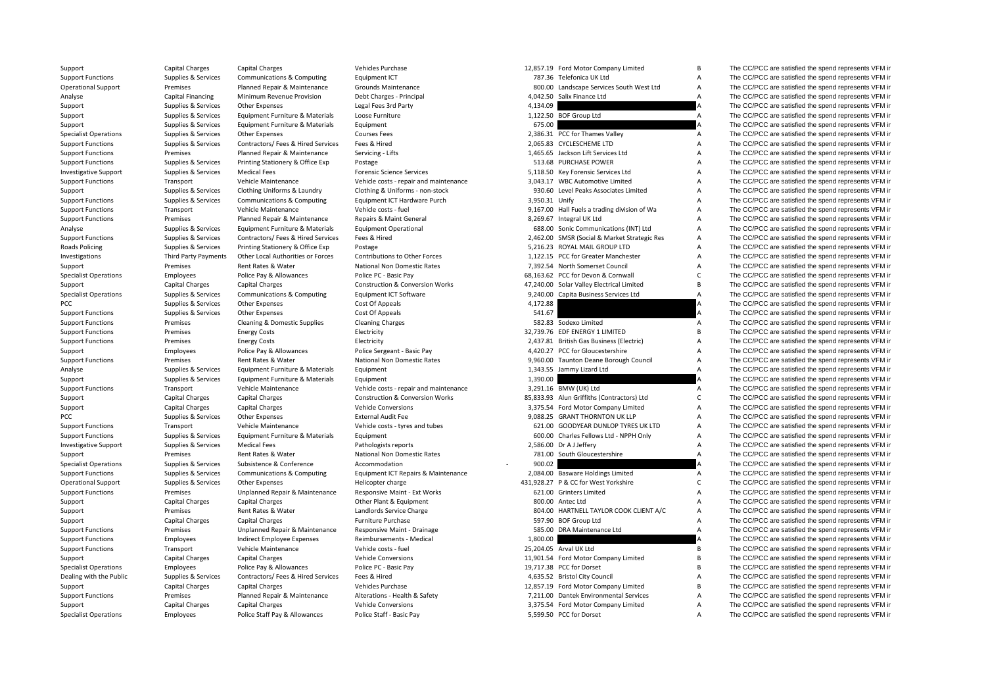| Support                      | Capital Charges             | <b>Capital Charges</b>                | Vehicles Purchase                          |                | 12,857.19 Ford Motor Company Limited         | B              | The CC/PCC are satisfied the spend represents VFM is |
|------------------------------|-----------------------------|---------------------------------------|--------------------------------------------|----------------|----------------------------------------------|----------------|------------------------------------------------------|
| <b>Support Functions</b>     | Supplies & Services         | <b>Communications &amp; Computing</b> | Equipment ICT                              |                | 787.36 Telefonica UK Ltd                     | A              | The CC/PCC are satisfied the spend represents VFM in |
| <b>Operational Support</b>   | Premises                    | Planned Repair & Maintenance          | Grounds Maintenance                        |                | 800.00 Landscape Services South West Ltd     | A              | The CC/PCC are satisfied the spend represents VFM in |
| Analyse                      | Capital Financing           | Minimum Revenue Provision             | Debt Charges - Principal                   |                | 4,042.50 Salix Finance Ltd                   | A              | The CC/PCC are satisfied the spend represents VFM in |
| Support                      | Supplies & Services         | Other Expenses                        | Legal Fees 3rd Party                       | 4.134.09       |                                              |                | The CC/PCC are satisfied the spend represents VFM in |
| Support                      | Supplies & Services         | Equipment Furniture & Materials       | Loose Furniture                            |                | 1,122.50 BOF Group Ltd                       | $\overline{A}$ | The CC/PCC are satisfied the spend represents VFM in |
| Support                      | Supplies & Services         | Equipment Furniture & Materials       | Equipment                                  | 675.00         |                                              |                | The CC/PCC are satisfied the spend represents VFM in |
| <b>Specialist Operations</b> | Supplies & Services         | Other Expenses                        | <b>Courses Fees</b>                        |                | 2,386.31 PCC for Thames Valley               | Α              | The CC/PCC are satisfied the spend represents VFM in |
| <b>Support Functions</b>     | Supplies & Services         | Contractors/ Fees & Hired Services    | Fees & Hired                               |                | 2.065.83 CYCLESCHEME LTD                     | A              | The CC/PCC are satisfied the spend represents VFM in |
| <b>Support Functions</b>     | Premises                    | Planned Repair & Maintenance          | Servicing - Lifts                          |                | 1,465.65 Jackson Lift Services Ltd           | A              | The CC/PCC are satisfied the spend represents VFM in |
| <b>Support Functions</b>     | Supplies & Services         | Printing Stationery & Office Exp      | Postage                                    |                | 513.68 PURCHASE POWER                        | A              | The CC/PCC are satisfied the spend represents VFM in |
| <b>Investigative Support</b> | Supplies & Services         | <b>Medical Fees</b>                   | <b>Forensic Science Services</b>           |                | 5,118.50 Key Forensic Services Ltd           | A              | The CC/PCC are satisfied the spend represents VFM in |
| <b>Support Functions</b>     | Transport                   | Vehicle Maintenance                   | Vehicle costs - repair and maintenance     |                | 3,043.17 WBC Automotive Limited              | Α              | The CC/PCC are satisfied the spend represents VFM in |
| Support                      | Supplies & Services         | Clothing Uniforms & Laundry           | Clothing & Uniforms - non-stock            |                | 930.60 Level Peaks Associates Limited        | A              | The CC/PCC are satisfied the spend represents VFM in |
| <b>Support Functions</b>     | Supplies & Services         | Communications & Computing            | Equipment ICT Hardware Purch               | 3,950.31 Unify |                                              | Α              | The CC/PCC are satisfied the spend represents VFM in |
| <b>Support Functions</b>     | Transport                   | Vehicle Maintenance                   | Vehicle costs - fuel                       |                | 9,167.00 Hall Fuels a trading division of Wa | A              | The CC/PCC are satisfied the spend represents VFM in |
|                              | Premises                    | Planned Repair & Maintenance          | Repairs & Maint General                    |                |                                              | A              | The CC/PCC are satisfied the spend represents VFM in |
| <b>Support Functions</b>     |                             |                                       |                                            |                | 8,269.67 Integral UK Ltd                     |                |                                                      |
| Analyse                      | Supplies & Services         | Equipment Furniture & Materials       | <b>Equipment Operational</b>               |                | 688.00 Sonic Communications (INT) Ltd        | A              | The CC/PCC are satisfied the spend represents VFM in |
| <b>Support Functions</b>     | Supplies & Services         | Contractors/ Fees & Hired Services    | Fees & Hired                               |                | 2,462.00 SMSR (Social & Market Strategic Res | Α              | The CC/PCC are satisfied the spend represents VFM in |
| <b>Roads Policing</b>        | Supplies & Services         | Printing Stationery & Office Exp      | Postage                                    |                | 5,216.23 ROYAL MAIL GROUP LTD                | A              | The CC/PCC are satisfied the spend represents VFM is |
| Investigations               | <b>Third Party Payments</b> | Other Local Authorities or Forces     | Contributions to Other Forces              |                | 1,122.15 PCC for Greater Manchester          | A              | The CC/PCC are satisfied the spend represents VFM in |
| Support                      | Premises                    | Rent Rates & Water                    | National Non Domestic Rates                |                | 7,392.54 North Somerset Council              | A              | The CC/PCC are satisfied the spend represents VFM in |
| <b>Specialist Operations</b> | Employees                   | Police Pay & Allowances               | Police PC - Basic Pay                      |                | 68,163.62 PCC for Devon & Cornwall           | C.             | The CC/PCC are satisfied the spend represents VFM in |
| Support                      | Capital Charges             | <b>Capital Charges</b>                | <b>Construction &amp; Conversion Works</b> |                | 47,240.00 Solar Valley Electrical Limited    | B              | The CC/PCC are satisfied the spend represents VFM in |
| <b>Specialist Operations</b> | Supplies & Services         | <b>Communications &amp; Computing</b> | Equipment ICT Software                     |                | 9,240.00 Capita Business Services Ltd        | A              | The CC/PCC are satisfied the spend represents VFM in |
| PCC                          | Supplies & Services         | Other Expenses                        | Cost Of Appeals                            | 4,172.88       |                                              | A              | The CC/PCC are satisfied the spend represents VFM in |
| <b>Support Functions</b>     | Supplies & Services         | Other Expenses                        | Cost Of Appeals                            | 541.67         |                                              |                | The CC/PCC are satisfied the spend represents VFM in |
| <b>Support Functions</b>     | Premises                    | Cleaning & Domestic Supplies          | <b>Cleaning Charges</b>                    |                | 582.83 Sodexo Limited                        | Α              | The CC/PCC are satisfied the spend represents VFM in |
| <b>Support Functions</b>     | Premises                    | <b>Energy Costs</b>                   | Electricity                                |                | 32,739.76 EDF ENERGY 1 LIMITED               | В              | The CC/PCC are satisfied the spend represents VFM in |
| <b>Support Functions</b>     | Premises                    | <b>Energy Costs</b>                   | Electricity                                |                | 2,437.81 British Gas Business (Electric)     | A              | The CC/PCC are satisfied the spend represents VFM in |
| Support                      | Employees                   | Police Pay & Allowances               | Police Sergeant - Basic Pay                |                | 4,420.27 PCC for Gloucestershire             | A              | The CC/PCC are satisfied the spend represents VFM in |
| <b>Support Functions</b>     | Premises                    | Rent Rates & Water                    | National Non Domestic Rates                |                | 9,960.00 Taunton Deane Borough Council       | A              | The CC/PCC are satisfied the spend represents VFM in |
| Analyse                      | Supplies & Services         | Equipment Furniture & Materials       | Equipment                                  |                | 1,343.55 Jammy Lizard Ltd                    | $\overline{A}$ | The CC/PCC are satisfied the spend represents VFM in |
| Support                      | Supplies & Services         | Equipment Furniture & Materials       | Equipment                                  | 1,390.00       |                                              |                | The CC/PCC are satisfied the spend represents VFM in |
| <b>Support Functions</b>     | Transport                   | Vehicle Maintenance                   | Vehicle costs - repair and maintenance     |                | 3,291.16 BMW (UK) Ltd                        | Α              | The CC/PCC are satisfied the spend represents VFM in |
| Support                      | Capital Charges             | <b>Capital Charges</b>                | <b>Construction &amp; Conversion Works</b> |                | 85,833.93 Alun Griffiths (Contractors) Ltd   | $\mathsf C$    | The CC/PCC are satisfied the spend represents VFM in |
| Support                      | Capital Charges             | <b>Capital Charges</b>                | <b>Vehicle Conversions</b>                 |                | 3,375.54 Ford Motor Company Limited          | Α              | The CC/PCC are satisfied the spend represents VFM in |
| PCC                          | Supplies & Services         | Other Expenses                        | <b>External Audit Fee</b>                  |                | 9,088.25 GRANT THORNTON UK LLP               | Α              | The CC/PCC are satisfied the spend represents VFM in |
| <b>Support Functions</b>     | Transport                   | Vehicle Maintenance                   | Vehicle costs - tyres and tubes            |                | 621.00 GOODYEAR DUNLOP TYRES UK LTD          | A              | The CC/PCC are satisfied the spend represents VFM in |
| <b>Support Functions</b>     | Supplies & Services         | Equipment Furniture & Materials       | Equipment                                  |                | 600.00 Charles Fellows Ltd - NPPH Only       | A              | The CC/PCC are satisfied the spend represents VFM in |
| <b>Investigative Support</b> | Supplies & Services         | <b>Medical Fees</b>                   | Pathologists reports                       |                | 2,586.00 Dr A J Jeffery                      | A              | The CC/PCC are satisfied the spend represents VFM in |
| Support                      | Premises                    | Rent Rates & Water                    | National Non Domestic Rates                |                | 781.00 South Gloucestershire                 | A              | The CC/PCC are satisfied the spend represents VFM in |
| <b>Specialist Operations</b> | Supplies & Services         | Subsistence & Conference              | Accommodation                              | 900.02         |                                              |                | The CC/PCC are satisfied the spend represents VFM in |
| <b>Support Functions</b>     | Supplies & Services         | Communications & Computing            | Equipment ICT Repairs & Maintenance        |                | 2,084.00 Basware Holdings Limited            | A              | The CC/PCC are satisfied the spend represents VFM in |
| <b>Operational Support</b>   | Supplies & Services         | Other Expenses                        | Helicopter charge                          |                | 431,928.27 P & CC for West Yorkshire         | $\mathsf C$    | The CC/PCC are satisfied the spend represents VFM ir |
|                              |                             |                                       |                                            |                | 621.00 Grinters Limited                      | A              |                                                      |
| <b>Support Functions</b>     | Premises                    | Unplanned Repair & Maintenance        | Responsive Maint - Ext Works               |                | 800.00 Antec Ltd                             | A              | The CC/PCC are satisfied the spend represents VFM in |
| Support                      | Capital Charges             | <b>Capital Charges</b>                | Other Plant & Equipment                    |                |                                              |                | The CC/PCC are satisfied the spend represents VFM in |
| Support                      | Premises                    | Rent Rates & Water                    | Landlords Service Charge                   |                | 804.00 HARTNELL TAYLOR COOK CLIENT A/C       | Α              | The CC/PCC are satisfied the spend represents VFM in |
| Support                      | Capital Charges             | <b>Capital Charges</b>                | Furniture Purchase                         |                | 597.90 BOF Group Ltd                         | Α              | The CC/PCC are satisfied the spend represents VFM in |
| <b>Support Functions</b>     | Premises                    | Unplanned Repair & Maintenance        | Responsive Maint - Drainage                |                | 585.00 DRA Maintenance Ltd                   | A              | The CC/PCC are satisfied the spend represents VFM in |
| <b>Support Functions</b>     | Employees                   | Indirect Employee Expenses            | Reimbursements - Medical                   | 1,800.00       |                                              |                | The CC/PCC are satisfied the spend represents VFM in |
| <b>Support Functions</b>     | Transport                   | Vehicle Maintenance                   | Vehicle costs - fuel                       |                | 25,204.05 Arval UK Ltd                       | B              | The CC/PCC are satisfied the spend represents VFM in |
| Support                      | Capital Charges             | <b>Capital Charges</b>                | <b>Vehicle Conversions</b>                 |                | 11,901.54 Ford Motor Company Limited         | B              | The CC/PCC are satisfied the spend represents VFM in |
| <b>Specialist Operations</b> | Employees                   | Police Pay & Allowances               | Police PC - Basic Pay                      |                | 19,717.38 PCC for Dorset                     | B              | The CC/PCC are satisfied the spend represents VFM in |
| Dealing with the Public      | Supplies & Services         | Contractors/ Fees & Hired Services    | Fees & Hired                               |                | 4,635.52 Bristol City Council                | A              | The CC/PCC are satisfied the spend represents VFM in |
| Support                      | Capital Charges             | <b>Capital Charges</b>                | Vehicles Purchase                          |                | 12,857.19 Ford Motor Company Limited         | B              | The CC/PCC are satisfied the spend represents VFM in |
| <b>Support Functions</b>     | Premises                    | Planned Repair & Maintenance          | Alterations - Health & Safety              |                | 7,211.00 Dantek Environmental Services       | A              | The CC/PCC are satisfied the spend represents VFM in |
| Support                      | Capital Charges             | <b>Capital Charges</b>                | <b>Vehicle Conversions</b>                 |                | 3,375.54 Ford Motor Company Limited          | Α              | The CC/PCC are satisfied the spend represents VFM in |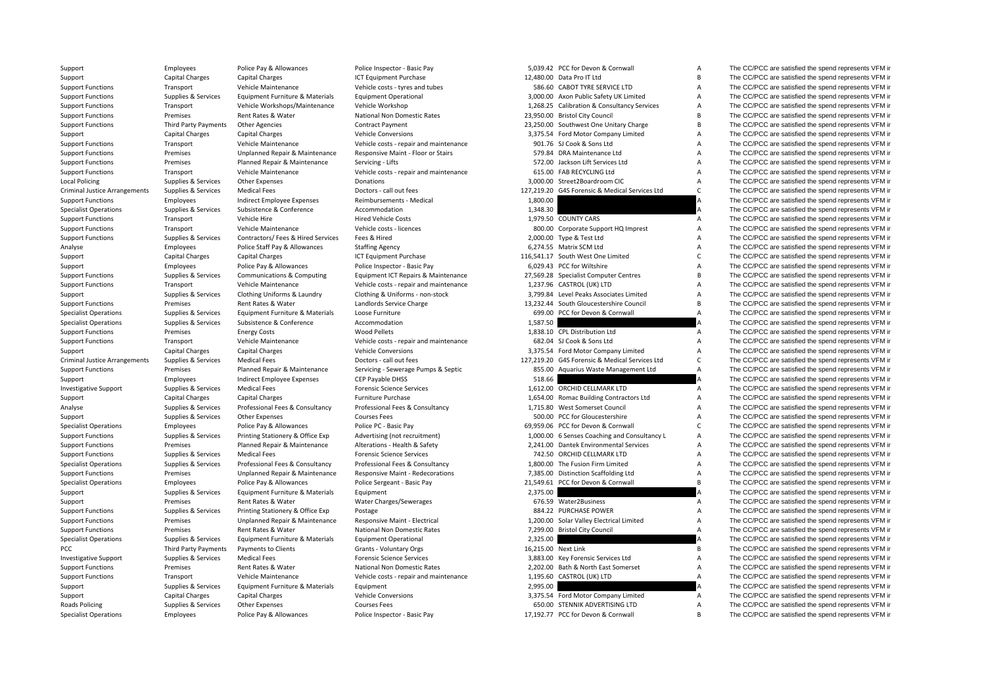Local Policing Criminal JusticeCriminal JusticePCC Third Party Payments Roads Policing

| ,039.42           | PCC for Devon & Cornwall                            |
|-------------------|-----------------------------------------------------|
|                   | ,480.00 Data Pro IT Ltd                             |
|                   | 586.60 CABOT TYRE SERVICE LTD                       |
|                   | ,000.00 Axon Public Safety UK Limited               |
|                   | ,268.25 Calibration & Consultancy Services          |
|                   | ,950.00 Bristol City Council                        |
|                   | ,250.00 Southwest One Unitary Charge                |
|                   | ,375.54 Ford Motor Company Limited                  |
|                   | 901.76 SJ Cook & Sons Ltd                           |
|                   | 579.84 DRA Maintenance Ltd                          |
|                   | 572.00 Jackson Lift Services Ltd                    |
| 615.00            | FAB RECYCLING Ltd                                   |
| ,000.00           | Street2Boardroom CIC                                |
| ,219.20           | G4S Forensic & Medical Services Ltd                 |
| ,800.00           |                                                     |
| ,348.30           |                                                     |
| ,979.50           | <b>COUNTY CARS</b>                                  |
| 800.00            | Corporate Support HQ Imprest                        |
| ,000.00           | Type & Test Ltd                                     |
| ,274.55           | Matrix SCM Ltd                                      |
| ,541.17           | South West One Limited                              |
|                   | ,029.43 PCC for Wiltshire                           |
| ,569.28           | <b>Specialist Computer Centres</b>                  |
| ,237.96           | CASTROL (UK) LTD                                    |
| ,799.84           | Level Peaks Associates Limited                      |
| ,232.44           | South Gloucestershire Council                       |
| 699.00            | PCC for Devon & Cornwall                            |
| ,587.50           |                                                     |
| ,838.10           | <b>CPL Distribution Ltd</b>                         |
|                   |                                                     |
|                   |                                                     |
| 682.04            | SJ Cook & Sons Ltd<br>Ford Motor Company Limited    |
| ,375.54           | G4S Forensic & Medical Services Ltd                 |
| ,219.20<br>855.00 | Aquarius Waste Management Ltd                       |
| 518.66            |                                                     |
| ,612.00           | ORCHID CELLMARK LTD                                 |
|                   | 654.00 Romac Building Contractors Ltd               |
|                   | <b>West Somerset Council</b>                        |
| ,715.80           | 500.00 PCC for Gloucestershire                      |
|                   | PCC for Devon & Cornwall                            |
| ,959.06           | ,000.00 6 Senses Coaching and Consultancy L         |
|                   | Dantek Environmental Services                       |
| ,241.00<br>742.50 | ORCHID CELLMARK LTD                                 |
| ,800.00           | The Fusion Firm Limited                             |
| ,385.00           | <b>Distinction Scaffolding Ltd</b>                  |
| ,549.61           | PCC for Devon & Cornwall                            |
| ,375.00           |                                                     |
| 676.59            | Water2Business                                      |
| 884.22            | PURCHASE POWER                                      |
| ,200.00           | Solar Valley Electrical Limited                     |
| ,299.00           | <b>Bristol City Council</b>                         |
| ,325.00           |                                                     |
| ,215.00           | <b>Next Link</b>                                    |
| ,883.00           | Key Forensic Services Ltd                           |
| ,202.00           | Bath & North East Somerset                          |
| ,195.60           | CASTROL (UK) LTD                                    |
| ,995.00           |                                                     |
| ,375.54           | Ford Motor Company Limited                          |
| 650.00<br>,192.77 | STENNIK ADVERTISING LTD<br>PCC for Devon & Cornwall |

Support Employees Police Pay & Allowances Police Inspector - Basic Pay 5,039.42 PCC for Devon & Cornwall A The CC/PCC are satisfied the spend represents VFM in Support Capital Charges Capital Charges ICT Fould be Charges ICT Equipment Purchase 12,480.00 Data Pro IT Ltd B The CC/PCC are satisfied the spend represents VFM in Support Functions Transport Vehicle Maintenance Vehicle costs - tyres and tubes 586.60 CABOT TYRE SERVICE LTD A The CC/PCC are satisfied the spend represents VFM in Support Functions Supplies & Services Equipment Furniture & Materials Equipment Operational 3,000.00 Axon Public Safety UK Limited A The CC/PCC are satisfied the spend represents VFM in<br>Support Functions Supplies A Transpo Support Functions Transport Vehicle Workshops/Maintenance Vehicle Workshop 1,268.25 Calibration & Consultancy Services A The CC/PCC are satisfied the spend represents VFM in Support Functions Premises Rent Rates & Water National Non Domestic Rates 23,950.00 Bristol City Council B The CC/PCC are satisfied the spend represents VFM in Support Functions Third Party Payments Other Agencies Contract Payment 23,250.00 Southwest One Unitary Charge B The CC/PCC are satisfied the spend represents VFM in Support Capital Charges Capital Charges Vehicle Conversions Vehicle Conversions 3,375.54 Ford Motor Company Limited A The CC/PCC are satisfied the spend represents VFM in Support Functions Transport Vehicle Maintenance Vehicle costs ‐ repair and maintenance 901.76 SJ Cook & Sons Ltd A The CC/PCC are satisfied the spend represents VFM in Support Functions Premises Unplanned Repair & Maintenance Responsive Maint ‐ Floor or Stairs 579.84 DRA Maintenance Ltd A The CC/PCC are satisfied the spend represents VFM in Support Functions Premises Planned Repair & Maintenance Servicing - Lifts 572.00 Jackson Lift Services Ltd A The CC/PCC are satisfied the spend represents VFM in Support Functions Transport Vehicle Maintenance Vehicle costs ‐ repair and maintenance 615.00 FAB RECYCLING Ltd A The CC/PCC are satisfied the spend represents VFM in Policing Supplies & Services Other Expenses Donations 3,000.00 Street2Boardroom CIC A The CC/PCC are satisfied the spend represents VFM in Supplies & Services Medical Fees Doctors – call out fees 127,219.20 G4S Forensic & Medical Services Ltd C The CC/PCC are satisfied the spend represents VFM in Support Functions Employees Indirect Employee Expenses Reimbursements - Medical 1,800.00 A The CC/PCC are satisfied the spend represents VFM in Specialist Operations Supplies & Services Subsistence Subsistence Accommodation Accommodation Accommodation and the Supplies of the CC/PCC are satisfied the spend represents VFM in Subsistence Subsistence Accommodation Hir Support Functions Transport Vehicle Hire Hire Hired Vehicle Costs 1,979.50 COUNTY CARS A The CC/PCC are satisfied the spend represents VFM in Support Functions Transport Vehicle Maintenance Vehicle costs - licences 800.00 Corporate Support HO Imprest A The CC/PCC are satisfied the spend represents VFM in Support Functions Supplies & Services Contractors/ Fees & Hired Services Fees & Hired 2,000.00 Type & Test Ltd A The CC/PCC are satisfied the spend represents VFM in Analyse Employees Police Staff Pay & Allowances Staffing Agency Staffing Agency 6,274.55 Matrix SCM Ltd A The CC/PCC are satisfied the spend represents VFM in Support Capital Charges Capital Charges Capital Charges ICT Equipment Purchase 116,541.17 South West One Limited C The CC/PCC are satisfied the spend represents VFM in Support Employees Police Pay & Allowances Police Inspector - Basic Pay 6,029.43 PCC for Wiltshire A The CC/PCC are satisfied the spend represents VFM in Support Functions Supplies & Services Communications & Computing Equipment ICT Repairs & Maintenance 27,569.28 Specialist Computer Centres B The CC/PCC are satisfied the spend represents VFM in Support Functions Transport Support Functions Transport Vehicle Maintenance Vehicle costs - repair and maintenance 1,237.96 CASTROL (UK) LTD A The CC/PCC are satisfied the spend represents VFM in Support Supplies & Services Clothing Uniforms & Laundry Clothing & Uniforms - non-stock 3,799.84 Level Peaks Associates Limited A The CC/PCC are satisfied the spend represents VFM in Support Functions Premises Rent Rates & Water Landlords Service Charge 13,232.44 South Gloucestershire Council B The CC/PCC are satisfied the spend represents VFM in Specialist Operations Supplies & Services Equipment Furniture & Materials Loose Furniture and the corner of the Services Equipment Furniture and the Spend represents VFM in Specialist Operations Supplies & Services Subsist Specialist Operations Supplies & Services Subsistence Subsistence Accommodation Accommodation 1,587.50 A The CC/PCC are satisfied the spend represents VFM in Support Functions Premises Energy Costs Wood Pellets Wood Pellets 1,838.10 CPL Distribution Ltd A The CC/PCC are satisfied the spend represents VFM in Support Functions Transport Vehicle Maintenance Vehicle costs - repair and maintenance 682.04 SJ Cook & Sons Ltd A The CC/PCC are satisfied the spend represents VFM in Support Capital Charges Capital Charges Vehicle Conversions Vehicle Conversions 3,375.54 Ford Motor Company Limited A The CC/PCC are satisfied the spend represents VFM in Supplies & Services Medical Fees Doctors - call out fees 127,219.20 G4S Forensic & Medical Services Ltd C The CC/PCC are satisfied the spend represents VFM in Support Functions Premises Planned Repair & Maintenance Servicing - Sewerage Pumps & Septic 855.00 Aquarius Waste Management Ltd A The CC/PCC are satisfied the spend represents VFM in Support The CC/PCC are satisfied the spend represents VFM in the Employee Expenses CEP Payable DHSS 518.66 518.66 A The CC/PCC are satisfied the spend represents VFM in Investigative Support Supplies & Services Medical Fees Forensic Science Services 1,612.00 ORCHID CELLMARK LTD A The CC/PCC are satisfied the spend represents VFM in Support Capital Charges Capital Charges Furniture Purchase Furniture Purchase 1,654.00 Romac Building Contractors Ltd A The CC/PCC are satisfied the spend represents VFM in Analyse Supplies & Services Professional Fees & Consultancy Professional Fees & Consultancy Professional Fees & Consultancy 1,715.80 West Somerset Council A The CC/PCC are satisfied the spend represents VFM in Support Supplies & Services Other Expenses Courses Fees Courses Fees SOO.00 PCC for Gloucestershire A The CC/PCC are satisfied the spend represents VFM in Specialist Operations Employees Police Pay & Allowances Police PC · Basic Pay 69,959.06 PCC for Devon & Cornwall C The CC/PCC are satisfied the spend represents VFM in Support Functions Supplies & Services Printing Stationery & Office Exp Advertising (not recruitment) 1,000.00 6 Senses Coaching and Consultancy L A The CC/PCC are satisfied the spend represents VFM in Support Functions Premises Planned Repair & Maintenance Alterations - Health & Safety 2,241.00 Dantek Environmental Services A The CC/PCC are satisfied the spend represents VFM in Support Functions Supplies & Services Medical Fees Forensic Science Services Forensic Science Services 742.50 ORCHID CELLMARK LTD A The CC/PCC are satisfied the spend represents VFM in Specialist Operations Supplies & Services Professional Fees & Consultancy Professional Fees & Consultancy Professional Fees & Consultancy 1,800.00 The Fusion Firm Limited A The CC/PCC are satisfied the spend represents VFM Support Functions Premises Unplanned Repair & Maintenance Responsive Maint - Redecorations 7,385.00 Distinction Scaffolding Ltd A The CC/PCC are satisfied the spend represents VFM in Specialist Operations Employees Police Pay & Allowances Police Sergeant - Basic Pay 21,549.61 PCC for Devon & Cornwall B The CC/PCC are satisfied the spend represents VFM in<br>Sun Sun Sunnites & Services Fouloment Furniture Support Supplies & Services Equipment Furniture & Materials Equipment 2,375.00 2,375.00 A The CC/PCC are satisfied the spend represents VFM in Support Premises Rent Rates & Water Water Charges/Sewerages 676.59 Water2Business A The CC/PCC are satisfied the spend represents VFM in Support Functions Supplies & Services Printing Stationery & Office Exp Postage Postage 884.22 PURCHASE POWER A The CC/PCC are satisfied the spend represents VFM in Support Functions Premises Dinplanned Repair & Maintenance Responsive Maint - Electrical 1,200.00 Solar Valley Electrical Limited A The CC/PCC are satisfied the spend represents VFM in Support Functions Premises Rent Rates & Water National Non Domestic Rates 7,299.00 Bristol City Council A The CC/PCC are satisfied the spend represents VFM in Specialist Operations Supplies & Services Equipment Furniture & Materials Equipment Operational 2,325.00 2,325.00 A The CC/PCC are satisfied the spend represents VFM in Payments to Clients Grants - Voluntary Orgs 16,215.00 Next Link B The CC/PCC are satisfied the spend represents VFM in Investigative Support Supplies & Services Medical Fees Forensic Science Services Medical Fees Forensic Science Services Forensic Services 3,883.00 Key Forensic Services Ltd A The CC/PCC are satisfied the spend represents V Support Functions Premises Rent Rates & Water National Non Domestic Rates 2,202.00 Bath & North Fast Somerset A The CC/PCC are satisfied the spend represents VFM in Support Functions Transport Vehicle Maintenance Vehicle costs ‐ repair and maintenance 1,195.60 CASTROL (UK) LTD A The CC/PCC are satisfied the spend represents VFM in Support Supplies & Services Equipment Furniture & Materials Equipment Equipment 2,995.00 2,995.00 Support 2,995.00 A The CC/PCC are satisfied the spend represents VFM in Support 2,995.00 Capital Company Limited Company Lim Capital Charges Capital Charges Vehicle Conversions Vehicle Conversions 3,375.54 Ford Motor Company Limited A The CC/PCC are satisfied the spend represents VFM in Supplies & Services Other Expenses Courses Fees Courses Fees Courses Fees 650.00 STENNIK ADVERTISING LTD A The CC/PCC are satisfied the spend represents VFM in Specialist Operations Employees Police Pay & Allowances Police Inspector - Basic Pay 17,192.77 PCC for Devon & Cornwall B The CC/PCC are satisfied the spend represents VFM in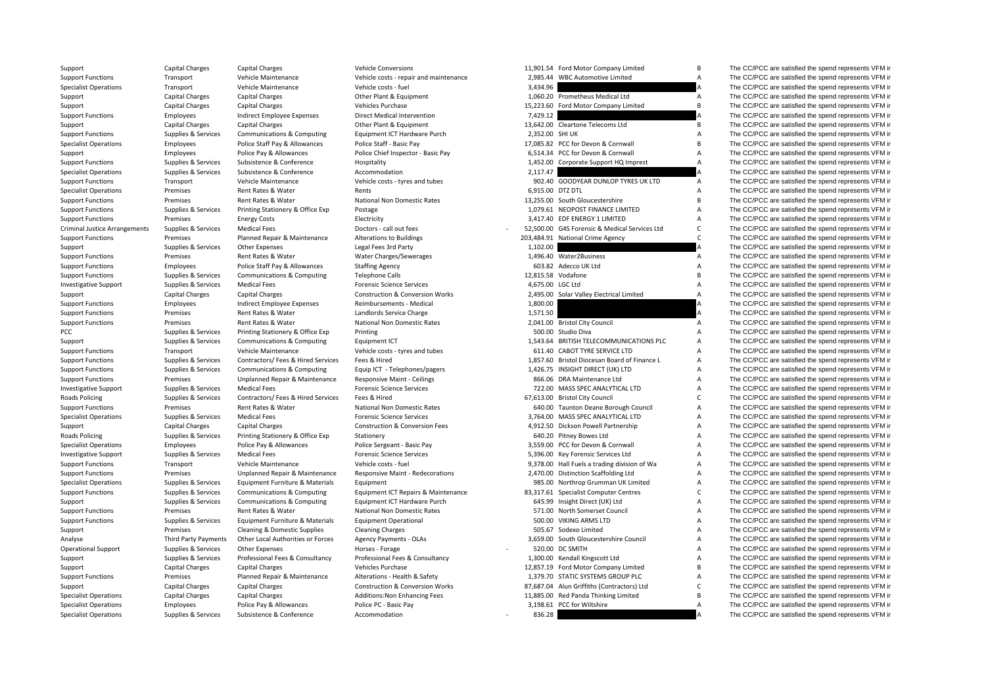Criminal Justice**Roads Policing Roads Policing** 

Support Capital Charges Capital Charges Vehicle Conversions Vehicle Conversions 11,901.54 Ford Motor Company Limited B The CC/PCC are satisfied the spend represents VFM in

|         | ,901.54 Ford Motor Company Limited          |
|---------|---------------------------------------------|
|         | ,985.44 WBC Automotive Limited              |
| ,434.96 |                                             |
| ,060.20 | Prometheus Medical Ltd                      |
| ,223.60 | Ford Motor Company Limited                  |
| ,429.12 |                                             |
| ,642.00 | Cleartone Telecoms Ltd                      |
| ,352.00 | SHI UK                                      |
| ,085.82 | PCC for Devon & Cornwall                    |
| ,514.34 | PCC for Devon & Cornwall                    |
| ,452.00 | Corporate Support HQ Imprest                |
| ,117.47 |                                             |
| 902.40  | GOODYEAR DUNLOP TYRES UK LTD                |
| ,915.00 | DTZ DTL                                     |
| ,255.00 | South Gloucestershire                       |
| ,079.61 | NEOPOST FINANCE LIMITED                     |
| ,417.40 | EDF ENERGY 1 LIMITED                        |
| ,500.00 | G4S Forensic & Medical Services Ltd         |
| ,484.91 | National Crime Agency                       |
| ,102.00 |                                             |
| ,496.40 | Water2Business                              |
| 603.82  | Adecco UK Ltd                               |
| ,815.58 | Vodafone                                    |
| ,675.00 | LGC Ltd                                     |
| ,495.00 | Solar Valley Electrical Limited             |
| ,800.00 |                                             |
| ,571.50 |                                             |
| 500.00  | ,041.00 Bristol City Council<br>Studio Diva |
|         | 543.64 BRITISH TELECOMMUNICATIONS PLC       |
| 611.40  | CABOT TYRE SERVICE LTD                      |
|         | ,857.60 Bristol Diocesan Board of Finance L |
| ,426.75 | INSIGHT DIRECT (UK) LTD                     |
|         | 866.06 DRA Maintenance Ltd                  |
|         | 722.00 MASS SPEC ANALYTICAL LTD             |
| ,613.00 | <b>Bristol City Council</b>                 |
| 640.00  | Taunton Deane Borough Council               |
| ,764.00 | MASS SPEC ANALYTICAL LTD                    |
| ,912.50 | Dickson Powell Partnership                  |
| 640.20  | Pitney Bowes Ltd                            |
| ,559.00 | PCC for Devon & Cornwall                    |
| ,396.00 | Key Forensic Services Ltd                   |
| ,378.00 | Hall Fuels a trading division of Wa         |
| ,470.00 | <b>Distinction Scaffolding Ltd</b>          |
| 985.00  | Northrop Grumman UK Limited                 |
| ,317.61 | <b>Specialist Computer Centres</b>          |
| 645.99  | Insight Direct (UK) Ltd                     |
| 571.00  | North Somerset Council                      |
| 500.00  | <b>VIKING ARMS LTD</b>                      |
| 505.67  | Sodexo Limited                              |
| ,659.00 | South Gloucestershire Council               |
| 520.00  | DC SMITH                                    |
| ,300.00 | Kendall Kingscott Ltd                       |
|         | ,857.19 Ford Motor Company Limited          |
| ,379.70 | STATIC SYSTEMS GROUP PLC                    |
| ,687.04 | Alun Griffiths (Contractors) Ltd            |
| ,885.00 | Red Panda Thinking Limited                  |
| ,198.61 | PCC for Wiltshire                           |
|         |                                             |

Support Functions Transport Vehicle Maintenance Vehicle costs - repair and maintenance 2,985.44 WBC Automotive Limited A The CC/PCC are satisfied the spend represents VFM in Specialist Operations Transport Vehicle Maintenance Vehicle costs ‐ fuel 3,434.96 3,434.96 A The CC/PCC are satisfied the spend represents VFM in Support Capital Charges Capital Charges Capital Charges Other Plant & Equipment 1,060.20 Prometheus Medical Ltd A The CC/PCC are satisfied the spend represents VFM in Support Capital Charges Capital Charges Capital Charges Support Capital Charges Capital Charges Vehicles Purchase Vehicles Purchase 15,223.60 Ford Motor Company Limited B The CC/PCC are satisfied the spend represents VFM in Support Functions Employees Indirect Employee Expenses Direct Medical Intervention 7,429.12 7,299.12 A The CC/PCC are satisfied the spend represents VFM in Support Capital Charges Capital Charges Capital Charges Other Plant & Equipment 13,642.00 Cleartone Telecoms Ltd B The CC/PCC are satisfied the spend represents VFM in Support Functions Supplies & Services Communications & Computing Equipment ICT Hardware Purch 2,352.00 SHI UK A The CC/PCC are satisfied the spend represents VFM in Specialist Operations Employees Police Staff Pay & Allowances Police Staff - Basic Pay 17,085.82 PCC for Devon & Cornwall B The CC/PCC are satisfied the spend represents VFM in Support The CC/PCC are satisfied the spend represents VFM in Police Pay & Allowances Police Chief Inspector - Basic Pay 6,514.34 PCC for Devon & Cornwall A The CC/PCC are satisfied the spend represents VFM in Support Functions Supplies & Services Subsistence & Conference Hospitality Hospitality and the Support HQ Imprest A The CC/PCC are satisfied the spend represents VFM in Specialist Operations Supplies & Services Subsistence Supplierence Accommodation Accommodation 2,117.47 A The CC/PCC are satisfied the spend represents VFM in Support Functions Transport Vehicle Maintenance Vehicle costs - tyres and tubes 902.40 GOODYEAR DUNLOP TYRES UK LTD A The CC/PCC are satisfied the spend represents VFM in Specialist Operations Premises Rent Rates & Water Rents 6,915.00 DTZ DTL A The CC/PCC are satisfied the spend represents VFM in Support Functions Premises Rent Rates & Water National Non Domestic Rates 13,255.00 South Gloucestershire B The CC/PCC are satisfied the spend represents VFM in Support Functions Supplies & Services Printing Stationery & Office Exp Postage 1,079.61 NEOPOST FINANCE LIMITED A The CC/PCC are satisfied the spend represents VFM in Support Functions Premises Energy Costs Electricity Electricity 3,417.40 EDF ENERGY 1 LIMITED A The CC/PCC are satisfied the spend represents VFM in Supplies & Services Medical Fees Doctors – call out fees 52,500.00 G4S Forensic & Medical Services Ltd C The CC/PCC are satisfied the spend represents VFM in Support Functions Premises Planned Repair & Maintenance Alterations to Buildings 203,484.91 National Crime Agency C The CC/PCC are satisfied the spend represents VFM in Support Supplies & Services Other Expenses Legal Fees 3rd Party 1,102.00 A The CC/PCC are satisfied the spend represents VFM in Support Functions Premises Rent Rates & Water Water Charges/Sewerages 1,496.40 Water2Business A The CC/PCC are satisfied the spend represents VFM in Support Functions Employees Police Staff Pay & Allowances Staffing Agency 603.82 Adecco UK Ltd A The CC/PCC are satisfied the spend represents VFM in Support Functions Supplies & Services Communications & Computing Telephone Calls 12,815.58 Vodafone 12,815.58 Vodafone B The CC/PCC are satisfied the spend represents VFM in Investigative Support Supplies & Services Medical Fees Forensic Science Services Forensic Science Services 4,675.00 LGC Ltd A The CC/PCC are satisfied the spend represents VFM in Support Capital Charges Capital Charges Construction & Conversion Works 2,495.00 Solar Valley Electrical Limited A The CC/PCC are satisfied the spend represents VFM in Support Functions Employees Indirect Employee Expenses Reimbursements - Medical 1,800.00 1,800.00 A The CC/PCC are satisfied the spend represents VFM in Support Functions Premises Rent Rates & Water Landlords Service Charge 1,571.50 A The CC/PCC are satisfied the spend represents VFM in Support Functions Premises Rent Rates & Water National Non Domestic Rates 2,041.00 Bristol City Council A The CC/PCC are satisfied the spend represents VFM in PCC Supplies & Services Printing Stationery & Office Exp Printing Printing Supplies and the Supplies of Supplies A The CC/PCC are satisfied the spend represents VFM in Support Supplies & Services Communications & Computing Equipment ICT 1,543.64 BRITISH TELECOMMUNICATIONS PLC A The CC/PCC are satisfied the spend represents VFM in Support Functions Transport Vehicle Maintenance Vehicle costs - tyres and tubes 611.40 CABOT TYRE SERVICE LTD A The CC/PCC are satisfied the spend represents VEM in Support Functions Supplies & Services Contractors/ Fees & Hired Services Fees & Hired 1,857.60 Bristol Diocesan Board of Finance L A The CC/PCC are satisfied the spend represents VFM in Support Functions Supplies & Services Communications & Computing Equip ICT - Telephones/pagers 1,426.75 INSIGHT DIRECT (UK) LTD A The CC/PCC are satisfied the spend represents VFM in Support Functions Premises Unplanned Repair & Maintenance Responsive Maint - Ceilings 866.06 DRA Maintenance Ltd A The CC/PCC are satisfied the spend represents VFM in Investigative Support Supplies & Services Medical Fees Forensic Science Services 722.00 MASS SPEC ANALYTICAL LTD A The CC/PCC are satisfied the spend represents VFM in Supplies & Services Contractors/ Fees & Hired Fees & Hired Fees & Hired 67,613.00 Bristol City Council C The CC/PCC are satisfied the spend represents VFM in Support Functions Premises Rent Rates & Water National Non Domestic Rates 640.00 Taunton Deane Borough Council A The CC/PCC are satisfied the spend represents VFM in Specialist Operations Supplies & Services Medical Fees Forensic Science Services Forensic Science Services 3,764.00 MASS SPEC ANALYTICAL LTD A The CC/PCC are satisfied the spend represents VFM in Support Capital Charges Capital Charges Construction & Conversion Fees 4,912.50 Dickson Powell Partnership A The CC/PCC are satisfied the spend represents VFM in Supplies & Services Printing Stationery & Office Exp Stationery Stationery Stationery Carp Stationery 640.20 Pitney Bowes Ltd A The CC/PCC are satisfied the spend represents VFM in Specialist Operations Employees Police Pay & Allowances Police Sergeant - Basic Pay 3,559.00 PCC for Devon & Cornwall A The CC/PCC are satisfied the spend represents VFM in the spend represents VFM in the correct of the sp Investigative Support Supplies & Services Medical Fees Forensic Science Services Forensic Science Services Forensic Services Forensic Services Ltd A The CC/PCC are satisfied the spend represents VFM in Support Functions Transport Vehicle Maintenance Vehicle costs - fuel 9,378.00 Hall Fuels a trading division of Wa A The CC/PCC are satisfied the spend represents VFM in Support Functions Premises Dinplanned Repair & Maintenance Responsive Maint - Redecorations 2,470.00 Distinction Scaffolding Ltd A The CC/PCC are satisfied the spend represents VFM in Specialist Operations Supplies & Services Equipment Furniture & Materials Equipment extends Equipment 985.00 Northrop Grumman UK Limited A The CC/PCC are satisfied the spend represents VFM in Support Functions Supplies & Services Communications & Computing Equipment ICT Repairs & Maintenance 83,317.61 Specialist Computer Centres C The CC/PCC are satisfied the spend represents VFM in Support Supplies & Services Communications & Computing Equipment ICT Hardware Purch 645.99 Insight Direct (UK) Ltd A The CC/PCC are satisfied the spend represents VFM in Support Functions Premises Rent Rates & Water National Non Domestic Rates 571.00 North Somerset Council A The CC/PCC are satisfied the spend represents VFM in Support Functions Supplies & Services Equipment Furniture & Materials Equipment Operational 500.00 VIKING ARMS LTD A The CC/PCC are satisfied the spend represents VFM in Support Cleaning & Domestic Supplies Cleaning Charges Cleaning Charges Support Cleaning Charges 505.67 Sodexo Limited A The CC/PCC are satisfied the spend represents VFM in Analyse Third Party Payments Other Local Authorities or Forces Agency Payments - OLAs 3,659.00 South Gloucestershire Council A The CC/PCC are satisfied the spend represents VFM in Operational Support Supplies & Services Other Expenses Morses - Forage Horses - Forage 520.00 CSMITH Support A The CC/PCC are satisfied the spend represents VFM in Supplies & Services Professional Fees & Consultancy Profes Support Supplies & Services Professional Fees & Consultancy Professional Fees & Consultancy Professional Fees & Consultancy 1,300.00 Kendall Kingscott Ltd A The CC/PCC are satisfied the spend represents VFM in Support Capi Support Capital Charges Capital Charges Vehicles Purchase Vehicles Purchase 12,857.19 Ford Motor Company Limited B The CC/PCC are satisfied the spend represents VFM in Support Functions Premises Planned Repair & Maintenance Alterations - Health & Safety 1,379.70 STATIC SYSTEMS GROUP PLC A The CC/PCC are satisfied the spend represents VFM in Support Capital Charges Capital Charges Construction & Conversion Works 87,687.04 Alun Griffiths (Contractors) Ltd C The CC/PCC are satisfied the spend represents VFM in Specialist Operations Capital Charges Capital Charges Additions:Non Enhancing Fees 11,885.00 Red Panda Thinking Limited B The CC/PCC are satisfied the spend represents VFM in Specialist Operations Employees Police Pay & Allowances Police PC - Basic Pay 3,198.61 PCC for Wiltshire A The CC/PCC are satisfied the spend represents VFM in Specialist Operations Supplies & Services Subsistence Subsistence Accommodation Accommodation 336.28 **A** The CC/PCC are satisfied the spend represents VFM in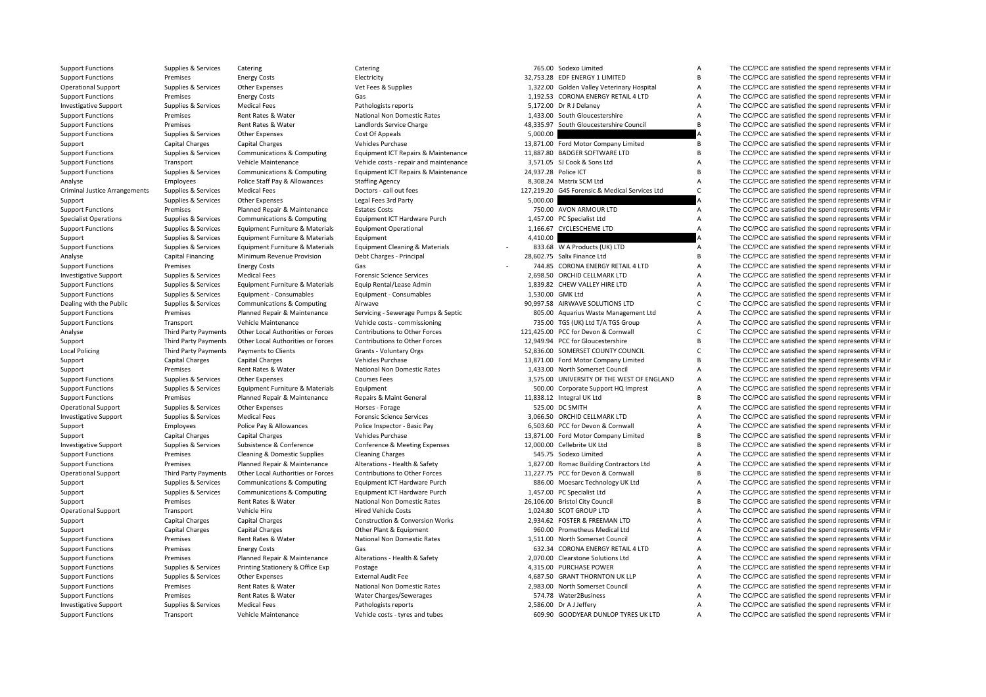| <b>Support Functions</b>             | Supplies & Services         | Catering                          | Catering                                   |                      | 765.00 Sodexo Limited                          | А              | The CC/PCC are satisfied the spend represents VFM in |
|--------------------------------------|-----------------------------|-----------------------------------|--------------------------------------------|----------------------|------------------------------------------------|----------------|------------------------------------------------------|
| <b>Support Functions</b>             | Premises                    | <b>Energy Costs</b>               | Electricity                                |                      | 32,753.28 EDF ENERGY 1 LIMITED                 | B              | The CC/PCC are satisfied the spend represents VFM in |
| <b>Operational Support</b>           | Supplies & Services         | Other Expenses                    | Vet Fees & Supplies                        |                      | 1,322.00 Golden Valley Veterinary Hospital     | A              | The CC/PCC are satisfied the spend represents VFM in |
| <b>Support Functions</b>             | Premises                    | <b>Energy Costs</b>               | Gas                                        |                      | 1,192.53 CORONA ENERGY RETAIL 4 LTD            | A              | The CC/PCC are satisfied the spend represents VFM in |
| <b>Investigative Support</b>         | Supplies & Services         | <b>Medical Fees</b>               | Pathologists reports                       |                      | 5,172.00 Dr R J Delaney                        | $\overline{A}$ | The CC/PCC are satisfied the spend represents VFM in |
| <b>Support Functions</b>             | Premises                    | Rent Rates & Water                | National Non Domestic Rates                |                      | 1,433.00 South Gloucestershire                 | A              | The CC/PCC are satisfied the spend represents VFM in |
| <b>Support Functions</b>             | Premises                    | Rent Rates & Water                | Landlords Service Charge                   |                      | 48,335.97 South Gloucestershire Council        | $\overline{B}$ | The CC/PCC are satisfied the spend represents VFM in |
| <b>Support Functions</b>             | Supplies & Services         | Other Expenses                    | Cost Of Appeals                            | 5,000.00             |                                                |                | The CC/PCC are satisfied the spend represents VFM in |
| Support                              | <b>Capital Charges</b>      | <b>Capital Charges</b>            | Vehicles Purchase                          |                      | 13,871.00 Ford Motor Company Limited           | B              | The CC/PCC are satisfied the spend represents VFM in |
| <b>Support Functions</b>             | Supplies & Services         | Communications & Computing        | Equipment ICT Repairs & Maintenance        |                      | 11,887.80 BADGER SOFTWARE LTD                  | B              | The CC/PCC are satisfied the spend represents VFM in |
| <b>Support Functions</b>             | Transport                   | Vehicle Maintenance               | Vehicle costs - repair and maintenance     |                      | 3,571.05 SJ Cook & Sons Ltd                    | A              | The CC/PCC are satisfied the spend represents VFM in |
| <b>Support Functions</b>             | Supplies & Services         | Communications & Computing        | Equipment ICT Repairs & Maintenance        | 24,937.28 Police ICT |                                                | B              | The CC/PCC are satisfied the spend represents VFM in |
| Analyse                              | Employees                   | Police Staff Pay & Allowances     | <b>Staffing Agency</b>                     |                      | 8,308.24 Matrix SCM Ltd                        | A              | The CC/PCC are satisfied the spend represents VFM in |
| <b>Criminal Justice Arrangements</b> | Supplies & Services         | <b>Medical Fees</b>               | Doctors - call out fees                    |                      | 127,219.20 G4S Forensic & Medical Services Ltd | $\mathsf{C}$   | The CC/PCC are satisfied the spend represents VFM in |
| Support                              | Supplies & Services         | <b>Other Expenses</b>             | Legal Fees 3rd Party                       | 5,000.00             |                                                |                | The CC/PCC are satisfied the spend represents VFM in |
|                                      | Premises                    | Planned Repair & Maintenance      | <b>Estates Costs</b>                       |                      | 750.00 AVON ARMOUR LTD                         | A              | The CC/PCC are satisfied the spend represents VFM in |
| <b>Support Functions</b>             |                             |                                   |                                            |                      |                                                | A              | The CC/PCC are satisfied the spend represents VFM in |
| <b>Specialist Operations</b>         | Supplies & Services         | Communications & Computing        | Equipment ICT Hardware Purch               |                      | 1,457.00 PC Specialist Ltd                     |                |                                                      |
| <b>Support Functions</b>             | Supplies & Services         | Equipment Furniture & Materials   | <b>Equipment Operational</b>               |                      | 1,166.67 CYCLESCHEME LTD                       | A              | The CC/PCC are satisfied the spend represents VFM in |
| Support                              | Supplies & Services         | Equipment Furniture & Materials   | Equipment                                  | 4,410.00             |                                                |                | The CC/PCC are satisfied the spend represents VFM in |
| <b>Support Functions</b>             | Supplies & Services         | Equipment Furniture & Materials   | <b>Equipment Cleaning &amp; Materials</b>  |                      | 833.68 W A Products (UK) LTD                   | A              | The CC/PCC are satisfied the spend represents VFM in |
| Analyse                              | Capital Financing           | Minimum Revenue Provision         | Debt Charges - Principal                   |                      | 28,602.75 Salix Finance Ltd                    | B              | The CC/PCC are satisfied the spend represents VFM in |
| <b>Support Functions</b>             | Premises                    | <b>Energy Costs</b>               | Gas                                        |                      | 744.85 CORONA ENERGY RETAIL 4 LTD              | $\overline{A}$ | The CC/PCC are satisfied the spend represents VFM in |
| <b>Investigative Support</b>         | Supplies & Services         | <b>Medical Fees</b>               | <b>Forensic Science Services</b>           |                      | 2,698.50 ORCHID CELLMARK LTD                   | $\overline{A}$ | The CC/PCC are satisfied the spend represents VFM in |
| <b>Support Functions</b>             | Supplies & Services         | Equipment Furniture & Materials   | Equip Rental/Lease Admin                   |                      | 1,839.82 CHEW VALLEY HIRE LTD                  | A              | The CC/PCC are satisfied the spend represents VFM in |
| <b>Support Functions</b>             | Supplies & Services         | Equipment - Consumables           | Equipment - Consumables                    |                      | 1,530.00 GMK Ltd                               | A              | The CC/PCC are satisfied the spend represents VFM in |
| Dealing with the Public              | Supplies & Services         | Communications & Computing        | Airwave                                    |                      | 90,997.58 AIRWAVE SOLUTIONS LTD                | $\mathsf{C}$   | The CC/PCC are satisfied the spend represents VFM in |
| <b>Support Functions</b>             | Premises                    | Planned Repair & Maintenance      | Servicing - Sewerage Pumps & Septic        |                      | 805.00 Aquarius Waste Management Ltd           | A              | The CC/PCC are satisfied the spend represents VFM in |
| <b>Support Functions</b>             | Transport                   | Vehicle Maintenance               | Vehicle costs - commissioning              |                      | 735.00 TGS (UK) Ltd T/A TGS Group              | A              | The CC/PCC are satisfied the spend represents VFM in |
| Analyse                              | <b>Third Party Payments</b> | Other Local Authorities or Forces | Contributions to Other Forces              |                      | 121,425.00 PCC for Devon & Cornwall            | $\mathsf{C}$   | The CC/PCC are satisfied the spend represents VFM in |
| Support                              | <b>Third Party Payments</b> | Other Local Authorities or Forces | Contributions to Other Forces              |                      | 12,949.94 PCC for Gloucestershire              | B              | The CC/PCC are satisfied the spend represents VFM in |
| <b>Local Policing</b>                | <b>Third Party Payments</b> | Payments to Clients               | Grants - Voluntary Orgs                    |                      | 52,836.00 SOMERSET COUNTY COUNCIL              | $\mathsf{C}$   | The CC/PCC are satisfied the spend represents VFM in |
| Support                              | <b>Capital Charges</b>      | <b>Capital Charges</b>            | Vehicles Purchase                          |                      | 13,871.00 Ford Motor Company Limited           | B              | The CC/PCC are satisfied the spend represents VFM in |
| Support                              | Premises                    | Rent Rates & Water                | National Non Domestic Rates                |                      | 1,433.00 North Somerset Council                | A              | The CC/PCC are satisfied the spend represents VFM in |
| <b>Support Functions</b>             | Supplies & Services         | Other Expenses                    | <b>Courses Fees</b>                        |                      | 3.575.00 UNIVERSITY OF THE WEST OF ENGLAND     | A              | The CC/PCC are satisfied the spend represents VFM in |
| <b>Support Functions</b>             | Supplies & Services         | Equipment Furniture & Materials   | Equipment                                  |                      | 500.00 Corporate Support HQ Imprest            | A              | The CC/PCC are satisfied the spend represents VFM in |
| <b>Support Functions</b>             | Premises                    | Planned Repair & Maintenance      | Repairs & Maint General                    |                      | 11,838.12 Integral UK Ltd                      | B              | The CC/PCC are satisfied the spend represents VFM in |
| <b>Operational Support</b>           | Supplies & Services         | Other Expenses                    | Horses - Forage                            |                      | 525.00 DC SMITH                                | A              | The CC/PCC are satisfied the spend represents VFM in |
|                                      | Supplies & Services         | <b>Medical Fees</b>               | <b>Forensic Science Services</b>           |                      | 3,066.50 ORCHID CELLMARK LTD                   | A              | The CC/PCC are satisfied the spend represents VFM in |
| <b>Investigative Support</b>         |                             |                                   |                                            |                      |                                                |                |                                                      |
| Support                              | Employees                   | Police Pay & Allowances           | Police Inspector - Basic Pay               |                      | 6,503.60 PCC for Devon & Cornwall              | A<br>B         | The CC/PCC are satisfied the spend represents VFM in |
| Support                              | Capital Charges             | <b>Capital Charges</b>            | Vehicles Purchase                          |                      | 13,871.00 Ford Motor Company Limited           | $\overline{B}$ | The CC/PCC are satisfied the spend represents VFM in |
| <b>Investigative Support</b>         | Supplies & Services         | Subsistence & Conference          | Conference & Meeting Expenses              |                      | 12,000.00 Cellebrite UK Ltd                    |                | The CC/PCC are satisfied the spend represents VFM in |
| <b>Support Functions</b>             | Premises                    | Cleaning & Domestic Supplies      | <b>Cleaning Charges</b>                    |                      | 545.75 Sodexo Limited                          | A              | The CC/PCC are satisfied the spend represents VFM in |
| <b>Support Functions</b>             | Premises                    | Planned Repair & Maintenance      | Alterations - Health & Safety              |                      | 1,827.00 Romac Building Contractors Ltd        | A              | The CC/PCC are satisfied the spend represents VFM in |
| <b>Operational Support</b>           | <b>Third Party Payments</b> | Other Local Authorities or Forces | <b>Contributions to Other Forces</b>       |                      | 11,227.75 PCC for Devon & Cornwall             | B              | The CC/PCC are satisfied the spend represents VFM in |
| Support                              | Supplies & Services         | Communications & Computing        | Equipment ICT Hardware Purch               |                      | 886.00 Moesarc Technology UK Ltd               | A              | The CC/PCC are satisfied the spend represents VFM in |
| Support                              | Supplies & Services         | Communications & Computing        | Equipment ICT Hardware Purch               |                      | 1,457.00 PC Specialist Ltd                     | A              | The CC/PCC are satisfied the spend represents VFM in |
| Support                              | Premises                    | Rent Rates & Water                | National Non Domestic Rates                |                      | 26,106.00 Bristol City Council                 | <sub>B</sub>   | The CC/PCC are satisfied the spend represents VFM in |
| <b>Operational Support</b>           | Transport                   | Vehicle Hire                      | <b>Hired Vehicle Costs</b>                 |                      | 1,024.80 SCOT GROUP LTD                        | A              | The CC/PCC are satisfied the spend represents VFM in |
| Support                              | Capital Charges             | Capital Charges                   | <b>Construction &amp; Conversion Works</b> |                      | 2,934.62 FOSTER & FREEMAN LTD                  | A              | The CC/PCC are satisfied the spend represents VFM in |
| Support                              | <b>Capital Charges</b>      | <b>Capital Charges</b>            | Other Plant & Equipment                    |                      | 960.00 Prometheus Medical Ltd                  | A              | The CC/PCC are satisfied the spend represents VFM in |
| <b>Support Functions</b>             | Premises                    | Rent Rates & Water                | <b>National Non Domestic Rates</b>         |                      | 1.511.00 North Somerset Council                | A              | The CC/PCC are satisfied the spend represents VFM in |
| <b>Support Functions</b>             | Premises                    | <b>Energy Costs</b>               | Gas                                        |                      | 632.34 CORONA ENERGY RETAIL 4 LTD              | A              | The CC/PCC are satisfied the spend represents VFM in |
| <b>Support Functions</b>             | Premises                    | Planned Repair & Maintenance      | Alterations - Health & Safety              |                      | 2,070.00 Clearstone Solutions Ltd              | A              | The CC/PCC are satisfied the spend represents VFM in |
| <b>Support Functions</b>             | Supplies & Services         | Printing Stationery & Office Exp  | Postage                                    |                      | 4,315.00 PURCHASE POWER                        | A              | The CC/PCC are satisfied the spend represents VFM in |
| <b>Support Functions</b>             | Supplies & Services         | Other Expenses                    | <b>External Audit Fee</b>                  |                      | 4,687.50 GRANT THORNTON UK LLP                 | A              | The CC/PCC are satisfied the spend represents VFM in |
| <b>Support Functions</b>             | Premises                    | Rent Rates & Water                | National Non Domestic Rates                |                      | 2,983.00 North Somerset Council                | A              | The CC/PCC are satisfied the spend represents VFM in |
| <b>Support Functions</b>             | Premises                    | Rent Rates & Water                | Water Charges/Sewerages                    |                      | 574.78 Water2Business                          | A              | The CC/PCC are satisfied the spend represents VFM in |
| <b>Investigative Support</b>         | Supplies & Services         | <b>Medical Fees</b>               | Pathologists reports                       |                      | 2,586.00 Dr A J Jeffery                        | A              | The CC/PCC are satisfied the spend represents VFM in |
|                                      |                             |                                   |                                            |                      |                                                |                |                                                      |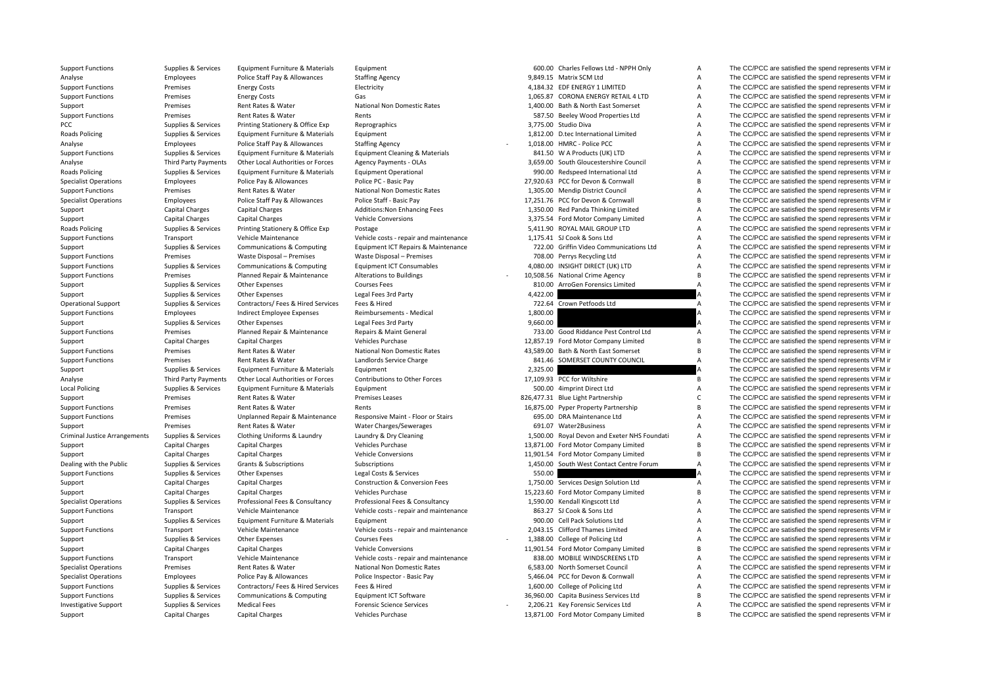**Roads Policing Roads Policing** Roads**Local Policing** Criminal Justice

Support Functions Supplies & Services Equipment Furniture & Materials Equipment 600.00 Charles Fellows Ltd - NPPH Only A The CC/PCC are satisfied the spend represents VFM in

|                      | 600.00 Charles Fellows Ltd - NPPH Only                           |
|----------------------|------------------------------------------------------------------|
|                      | 9,849.15 Matrix SCM Ltd                                          |
|                      | 4,184.32 EDF ENERGY 1 LIMITED                                    |
|                      | 1,065.87 CORONA ENERGY RETAIL 4 LTD                              |
|                      | 1,400.00 Bath & North East Somerset                              |
|                      | 587.50 Beeley Wood Properties Ltd                                |
|                      | 3,775.00 Studio Diva                                             |
|                      | 1,812.00 D.tec International Limited                             |
| 1,018.00             | <b>HMRC - Police PCC</b>                                         |
| 841.50               | W A Products (UK) LTD                                            |
|                      | 3,659.00 South Gloucestershire Council                           |
|                      | 990.00 Redspeed International Ltd                                |
|                      | 7,920.63 PCC for Devon & Cornwall                                |
| 1,305.00             | <b>Mendip District Council</b>                                   |
|                      | 7,251.76 PCC for Devon & Cornwall                                |
| 1,350.00             | Red Panda Thinking Limited                                       |
| 3,375.54             | Ford Motor Company Limited                                       |
|                      | 5,411.90 ROYAL MAIL GROUP LTD                                    |
| 1,175.41             | SJ Cook & Sons Ltd                                               |
| 722.00               | Griffin Video Communications Ltd                                 |
|                      | 708.00 Perrys Recycling Ltd                                      |
|                      | 4,080.00 INSIGHT DIRECT (UK) LTD                                 |
| 0,508.56             | National Crime Agency                                            |
| 810.00               | ArroGen Forensics Limited                                        |
| 4,422.00<br>722.64   |                                                                  |
| 1,800.00             | Crown Petfoods Ltd                                               |
| 9,660.00             |                                                                  |
|                      | 733.00 Good Riddance Pest Control Ltd                            |
| 2,857.19             | Ford Motor Company Limited                                       |
|                      |                                                                  |
|                      |                                                                  |
|                      | 3,589.00 Bath & North East Somerset                              |
| 841.46               | SOMERSET COUNTY COUNCIL                                          |
| 2,325.00             |                                                                  |
| 7,109.93             | PCC for Wiltshire                                                |
| 500.00               | 4imprint Direct Ltd                                              |
| 6,875.00             | 6,477.31 Blue Light Partnership<br>Pyper Property Partnership    |
|                      | 695.00 DRA Maintenance Ltd                                       |
| 691.07               | Water2Business                                                   |
|                      | 1,500.00 Royal Devon and Exeter NHS Foundati                     |
|                      | 3,871.00 Ford Motor Company Limited                              |
| 1,901.54             | Ford Motor Company Limited                                       |
| 1,450.00             | South West Contact Centre Forum                                  |
| 550.00               |                                                                  |
| 1,750.00             | Services Design Solution Ltd                                     |
|                      | 5,223.60 Ford Motor Company Limited                              |
|                      | 1,590.00 Kendall Kingscott Ltd                                   |
| 863.27               | SJ Cook & Sons Ltd                                               |
|                      | 900.00 Cell Pack Solutions Ltd                                   |
|                      | 2,043.15 Clifford Thames Limited                                 |
| 1,388.00             | College of Policing Ltd                                          |
|                      | 1,901.54 Ford Motor Company Limited                              |
|                      | 838.00 MOBILE WINDSCREENS LTD                                    |
|                      | 6,583.00 North Somerset Council                                  |
|                      | 5,466.04 PCC for Devon & Cornwall                                |
|                      | College of Policing Ltd                                          |
| 1,600.00<br>6,960.00 | Capita Business Services Ltd                                     |
| 2,206.21             | Key Forensic Services Ltd<br>3.871.00 Ford Motor Company Limited |

Analyse Employees Police Staff Pay & Allowances Staffing Agency 9,849.15 Matrix SCM Ltd A The CC/PCC are satisfied the spend represents VFM in Support Functions Premises Energy Costs Electricity Electricity Electricity A,184.32 EDF ENERGY 1 LIMITED A The CC/PCC are satisfied the spend represents VFM in Support Functions Premises Energy Costs Gas Gas Gas and the Support Energy Costs Gas and Energy Costs Gas and Energy Costs Gas and Collective Rates and the Spend represents VFM in Support Functions and The CC/PCC are satis Support Premises and Rates Rent Rates Rent Rates National Non Domestic Rates 1,400.00 Bath & North East Somerset A The CC/PCC are satisfied the spend represents VFM in Support Functions Premises Rent Rates & Water Rents Rents Rents Rents Rents Rents SER SO Beeley Wood Properties Ltd A The CC/PCC are satisfied the spend represents VFM in PCC Supplies & Services Printing Stationery & Office Exp Reprographics Reprographics 3,775.00 Studio Diva A The CC/PCC are satisfied the spend represents VFM in Policing Supplies & Services Equipment Furniture & Materials Equipment 1,812.00 D.tec International Limited A The CC/PCC are satisfied the spend represents VFM in The CC/PCC are satisfied the spend represents VFM in Furnit Analyse Employees Police Staff Pay & Allowances Staffing Agency 1,018.00 HMRC - Police PCC A The CC/PCC are satisfied the spend represents VFM in Support Functions Supplies & Services Foutionent Furniture & Materials Equipment Cleaning & Materials 841.50 W A Products (UK) LTD A The CC/PCC are satisfied the spend represents VFM in Analyse Third Party Payments Other Local Authorities or Forces Agency Payments - OLAs 3,659.00 South Gloucestershire Council A The CC/PCC are satisfied the spend represents VFM in Policing Supplies & Services Equipment Furniture & Materials Equipment Operational externational 990.00 Redspeed International Ltd A The CC/PCC are satisfied the spend represents VFM in Specialist Operations Employees Police Pay & Allowances Police PC - Basic Pay 27,920.63 PCC for Devon & Cornwall B The CC/PCC are satisfied the spend represents VFM in Support Functions Premises Rent Rates & Water National Non Domestic Rates 1,305.00 Mendip District Council A The CC/PCC are satisfied the spend represents VFM in Specialist Operations Employees Police Staff Pay & Allowances Police Staff - Basic Pay 17,251.76 PCC for Devon & Cornwall B The CC/PCC are satisfied the spend represents VFM in Support Capital Charges Capital Charges Additions:Non Enhancing Fees 1,350.00 Red Panda Thinking Limited A The CC/PCC are satisfied the spend represents VFM in<br>Support Capital Charges Capital Charges Vehicle Conversions an Support Capital Charges Capital Charges Vehicle Conversions 3,375.54 Ford Motor Company Limited A The CC/PCC are satisfied the spend represents VFM in Supplies & Services Printing Stationery & Office Exp Postage State Supplies A Statisfied the Supplies A The CC/PCC are satisfied the spend represents VFM in Support Functions Transport Vehicle Maintenance Vehicle costs ‐ repair and maintenance 1,175.41 SJ Cook & Sons Ltd A The CC/PCC are satisfied the spend represents VFM in Support Supplies & Services Communications & Computing Faultoment ICT Repairs & Maintenance 722.00 Griffin Video Communications Ltd A The CC/PCC are satisfied the spend represents VFM in Support Functions Premises Waste Disposal – Premises Waste Disposal – Premises Waste Disposal – Premises 708.00 Perrys Recycling Ltd A The CC/PCC are satisfied the spend represents VFM in Support Functions Supplies & Services Communications & Computing Equipment ICT Consumables 4,080.00 INSIGHT DIRECT (UK) LTD A The CC/PCC are satisfied the spend represents VFM in Support Functions Premises Planned Repair & Maintenance Alterations to Buildings 10,508.56 National Crime Agency B The CC/PCC are satisfied the spend represents VFM in Support Support Support Supplies & Services Other Expenses Courses Fees Courses Fees 810.00 ArroGen Forensics Limited A The CC/PCC are satisfied the spend represents VFM in Support Supplies & Services Other Expenses Legal Fees 3rd Party A A The CC/PCC are satisfied the spend represents VFM in Operational Support Supplies & Services Contractors/ Fees & Hired Services Fees & Hired 722.64 Crown Petfoods Ltd A The CC/PCC are satisfied the spend represents VFM in Support Functions Employees Indirect Employee Expenses Reimbursements - Medical 1,800.00 A The CC/PCC are satisfied the spend represents VFM in Support Supplies & Services Other Expenses Legal Fees 3rd Party 9,660.00 9,660.00 A The CC/PCC are satisfied the spend represents VFM in Support Functions Premises Planned Repair & Maintenance Repairs & Maint General 733.00 Good Riddance Pest Control Ltd A The CC/PCC are satisfied the spend represents VFM in Support Capital Charges Capital Charges Vehicles Purchase Vehicles Purchase 12,857.19 Ford Motor Company Limited B The CC/PCC are satisfied the spend represents VFM in Support Functions Premises Rent Rates & Water National Non Domestic Rates 43,589.00 Bath & North Fast Somerset B The CC/PCC are satisfied the spend represents VFM in Support Functions Premises Rent Rates & Water Landlords Service Charge 841.46 SOMERSET COUNTY COUNCIL A The CC/PCC are satisfied the spend represents VFM in Support Supplies & Services Equipment Furniture & Materials Equipment 2,325.00 2,325.00 A The CC/PCC are satisfied the spend represents VFM in Analyse Third Party Payments Other Local Authorities or Forces Contributions to Other Forces 17,109.93 PCC for Wiltshire The CC/PCC are satisfied the spend represents VFM in Policing Supplies & Services Equipment Furniture & Materials Equipment 500.00 4imprint Direct Ltd A The CC/PCC are satisfied the spend represents VFM in Support Premises Rent Rates & Water Premises Leases 826,477.31 Blue Light Partnership C The CC/PCC are satisfied the spend represents VFM in Support Functions Premises Rent Rates & Water Rents Rents Rents Rents Rents 16,875.00 Pyper Property Partnership B The CC/PCC are satisfied the spend represents VFM in Support Functions Premises Dinplanned Repair & Maintenance Responsive Maint - Floor or Stairs 695.00 DRA Maintenance Ltd A The CC/PCC are satisfied the spend represents VFM in Support The CC/PCC are satisfied the spend represents VFM in Rates Rent Rates & Water Water Charges/Sewerages 691.07 Water 2Business A The CC/PCC are satisfied the spend represents VFM in Supplies & Services Clothing Uniforms & Laundry Laundry & Dry Cleaning 1,500.00 Royal Devon and Exeter NHS Foundati A The CC/PCC are satisfied the spend represents VFM in Support Capital Charges Capital Charges Capital Charges Vehicles Purchase Vehicles Purchase 13,871.00 Ford Motor Company Limited B The CC/PCC are satisfied the spend represents VFM in<br>Support Capital Charges Capital Charge Support Capital Charges Capital Charges Vehicle Conversions Vehicle Conversions 11,901.54 Ford Motor Company Limited B The CC/PCC are satisfied the spend represents VFM in Dealing with the Public Supplies & Services Grants & Subscriptions Subscriptions Supplies and represents VFM in Support Functions Supplies & Services Other Expenses Legal Costs & Services Legal Costs & Services Services Services Services Costs & Services Costs & Services 550.00 A The CC/PCC are satisfied the spend represents VFM in Support Capital Charges Capital Charges Construction & Conversion Fees 1,750.00 Services Design Solution Ltd A The CC/PCC are satisfied the spend represents VFM in Support Capital Charges Capital Charges Vehicles Purchase Vehicles Purchase 15,223.60 Ford Motor Company Limited B The CC/PCC are satisfied the spend represents VFM in Specialist Operations Supplies & Services Professional Fees & Consultancy Professional Fees & Consultancy Professional Fees & Consultancy 1,590.00 Kendall Kingscott Ltd A The CC/PCC are satisfied the spend represents VFM i Support Functions Transport Vehicle Maintenance Vehicle costs ‐ repair and maintenance 863.27 SJ Cook & Sons Ltd A The CC/PCC are satisfied the spend represents VFM in Support Supplies & Services Equipment Furniture & Materials Equipment A Equipment Supplies & Services Equipment Purniture & Materials Equipment Supplies A Services Equipment Purniture & Materials Equipment Supplies A Servi Support Functions Transport Vehicle Maintenance Vehicle costs - repair and maintenance 2,043.15 Clifford Thames Limited A The CC/PCC are satisfied the spend represents VFM in Support Supplies & Services Other Expenses Courses Fees Courses Fees 1,388.00 College of Policing Ltd A The CC/PCC are satisfied the spend represents VFM in Support Capital Charges Capital Charges Vehicle Conversions Vehicle Conversions 11,901.54 Ford Motor Company Limited B The CC/PCC are satisfied the spend represents VFM in Support Functions Transport Vehicle Maintenance Vehicle costs ‐ repair and maintenance 838.00 MOBILE WINDSCREENS LTD A The CC/PCC are satisfied the spend represents VFM in Section of the spend represents VFM in Section of Specialist Operations Premises Rent Rates & Water National Non Domestic Rates 6,583.00 North Somerset Council A The CC/PCC are satisfied the spend represents VFM in Specialist Operations Employees Police Pay & Allowances Police Inspector - Basic Pay 5,466.04 PCC for Devon & Cornwall A The CC/PCC are satisfied the spend represents VFM in Support Functions Supplies & Services Contractors/ Fees & Hired Services Fees & Hired 1,600.00 College of Policing Ltd A The CC/PCC are satisfied the spend represents VFM in Support Functions Supplies & Services Communications & Computing Faultoment ICT Software 36,960.00 Capita Business Services Ltd B The CC/PCC are satisfied the spend represents VFM in Investigative Support Supplies & Services Medical Fees Forensic Science Services Forensic Science Services A Z,206.21 Key Forensic Services Ltd A The CC/PCC are satisfied the spend represents VFM in Support Capital Charges Capital Charges Vehicles Purchase Vehicles Purchase 13,871.00 Ford Motor Company Limited B The CC/PCC are satisfied the spend represents VFM in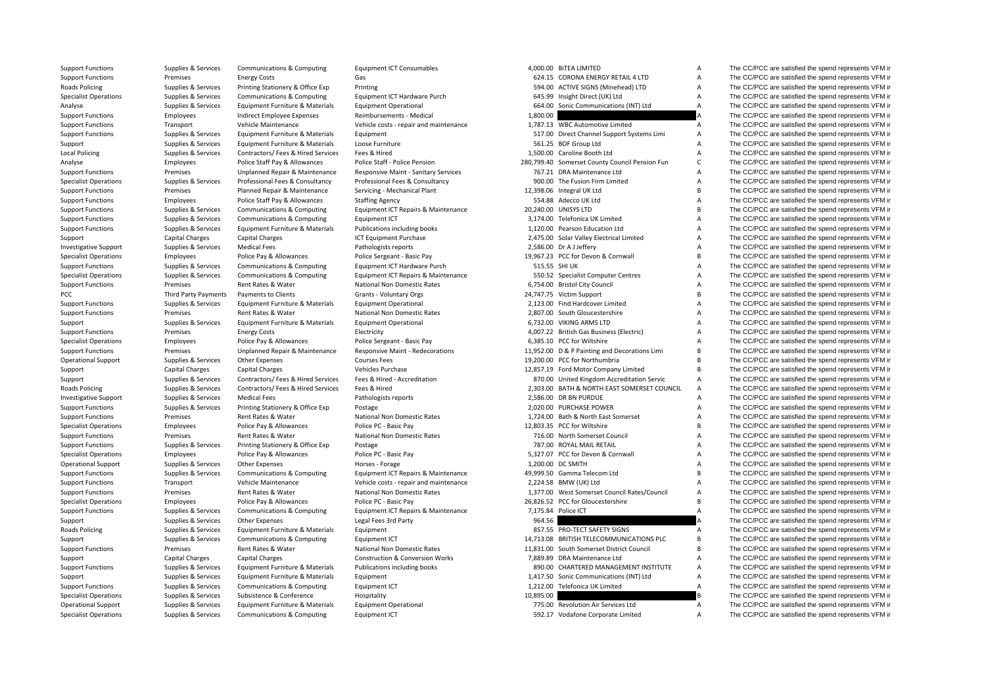| <b>Support Functions</b>     | Supplies & Services         | Communications & Computing            | <b>Equipment ICT Consumables</b>           |           | 4,000.00 BITEA LIMITED                         | A            | The CC/PCC are satisfied the spend represents VFM in |
|------------------------------|-----------------------------|---------------------------------------|--------------------------------------------|-----------|------------------------------------------------|--------------|------------------------------------------------------|
| <b>Support Functions</b>     | Premises                    | <b>Energy Costs</b>                   | Gas                                        |           | 624.15 CORONA ENERGY RETAIL 4 LTD              | A            | The CC/PCC are satisfied the spend represents VFM in |
| Roads Policing               | Supplies & Services         | Printing Stationery & Office Exp      | Printing                                   |           | 594.00 ACTIVE SIGNS (Minehead) LTD             | A            | The CC/PCC are satisfied the spend represents VFM in |
| <b>Specialist Operations</b> | Supplies & Services         | <b>Communications &amp; Computing</b> | Equipment ICT Hardware Purch               |           | 645.99 Insight Direct (UK) Ltd                 | A            | The CC/PCC are satisfied the spend represents VFM in |
| Analyse                      | Supplies & Services         | Equipment Furniture & Materials       | <b>Equipment Operational</b>               |           | 664.00 Sonic Communications (INT) Ltd          | A            | The CC/PCC are satisfied the spend represents VFM in |
| <b>Support Functions</b>     | Employees                   | Indirect Employee Expenses            | Reimbursements - Medical                   | 1,800.00  |                                                |              | The CC/PCC are satisfied the spend represents VFM in |
| <b>Support Functions</b>     | Transport                   | Vehicle Maintenance                   | Vehicle costs - repair and maintenance     |           | 1,787.13 WBC Automotive Limited                | A            | The CC/PCC are satisfied the spend represents VFM in |
| <b>Support Functions</b>     | Supplies & Services         | Equipment Furniture & Materials       | Equipment                                  |           | 517.00 Direct Channel Support Systems Limi     | A            | The CC/PCC are satisfied the spend represents VFM in |
| Support                      | Supplies & Services         | Equipment Furniture & Materials       | Loose Furniture                            |           | 561.25 BOF Group Ltd                           | A            | The CC/PCC are satisfied the spend represents VFM in |
| <b>Local Policing</b>        | Supplies & Services         | Contractors/ Fees & Hired Services    | Fees & Hired                               |           | 1,500.00 Caroline Booth Ltd                    | A            | The CC/PCC are satisfied the spend represents VFM in |
| Analyse                      | Employees                   | Police Staff Pay & Allowances         | Police Staff - Police Pension              |           | 280,799.40 Somerset County Council Pension Fun | $\mathsf{C}$ | The CC/PCC are satisfied the spend represents VFM in |
| <b>Support Functions</b>     | Premises                    | Unplanned Repair & Maintenance        | Responsive Maint - Sanitary Services       |           | 767.21 DRA Maintenance Ltd                     | A            | The CC/PCC are satisfied the spend represents VFM in |
| <b>Specialist Operations</b> | Supplies & Services         | Professional Fees & Consultancy       | Professional Fees & Consultancy            |           | 900.00 The Fusion Firm Limited                 | A            | The CC/PCC are satisfied the spend represents VFM in |
| <b>Support Functions</b>     | Premises                    | Planned Repair & Maintenance          | Servicing - Mechanical Plant               |           | 12,398.06 Integral UK Ltd                      | <sub>B</sub> | The CC/PCC are satisfied the spend represents VFM in |
| <b>Support Functions</b>     | Employees                   | Police Staff Pay & Allowances         | <b>Staffing Agency</b>                     |           | 554.88 Adecco UK Ltd                           | A            | The CC/PCC are satisfied the spend represents VFM in |
| <b>Support Functions</b>     | Supplies & Services         | Communications & Computing            | Equipment ICT Repairs & Maintenance        |           | 20,240.00 UNISYS LTD                           | <sub>B</sub> | The CC/PCC are satisfied the spend represents VFM in |
| <b>Support Functions</b>     | Supplies & Services         | Communications & Computing            | Equipment ICT                              |           | 3,174.00 Telefonica UK Limited                 | A            | The CC/PCC are satisfied the spend represents VFM in |
| <b>Support Functions</b>     | Supplies & Services         | Equipment Furniture & Materials       | Publications including books               |           | 1,120.00 Pearson Education Ltd                 | A            | The CC/PCC are satisfied the spend represents VFM in |
| Support                      | Capital Charges             | Capital Charges                       | ICT Equipment Purchase                     |           | 2,475.00 Solar Valley Electrical Limited       | A            | The CC/PCC are satisfied the spend represents VFM in |
| <b>Investigative Support</b> | Supplies & Services         | <b>Medical Fees</b>                   | Pathologists reports                       |           | 2,586.00 Dr A J Jeffery                        | A            | The CC/PCC are satisfied the spend represents VFM in |
| <b>Specialist Operations</b> | Employees                   | Police Pay & Allowances               | Police Sergeant - Basic Pay                |           | 19.967.23 PCC for Devon & Cornwall             | <sub>B</sub> | The CC/PCC are satisfied the spend represents VFM in |
| <b>Support Functions</b>     | Supplies & Services         | Communications & Computing            | Equipment ICT Hardware Purch               |           | 515.55 SHI UK                                  | A            | The CC/PCC are satisfied the spend represents VFM in |
| <b>Specialist Operations</b> | Supplies & Services         | Communications & Computing            | Equipment ICT Repairs & Maintenance        |           | 550.52 Specialist Computer Centres             | A            | The CC/PCC are satisfied the spend represents VFM in |
| <b>Support Functions</b>     | Premises                    | Rent Rates & Water                    | <b>National Non Domestic Rates</b>         |           | 6,754.00 Bristol City Council                  | A            | The CC/PCC are satisfied the spend represents VFM in |
| PCC                          | <b>Third Party Payments</b> | Payments to Clients                   | Grants - Voluntary Orgs                    |           | 24,747.75 Victim Support                       | B            | The CC/PCC are satisfied the spend represents VFM in |
| <b>Support Functions</b>     | Supplies & Services         | Equipment Furniture & Materials       | <b>Equipment Operational</b>               |           | 2,123.00 Find Hardcover Limited                | A            | The CC/PCC are satisfied the spend represents VFM in |
| <b>Support Functions</b>     | Premises                    | Rent Rates & Water                    | National Non Domestic Rates                |           | 2.807.00 South Gloucestershire                 | A            | The CC/PCC are satisfied the spend represents VFM in |
| Support                      | Supplies & Services         | Equipment Furniture & Materials       | <b>Equipment Operational</b>               |           | 6,732.00 VIKING ARMS LTD                       | A            | The CC/PCC are satisfied the spend represents VFM in |
| <b>Support Functions</b>     | Premises                    | <b>Energy Costs</b>                   | Electricity                                |           | 4,007.22 British Gas Business (Electric)       | A            | The CC/PCC are satisfied the spend represents VFM in |
| <b>Specialist Operations</b> | Employees                   | Police Pay & Allowances               | Police Sergeant - Basic Pay                |           | 6.385.10 PCC for Wiltshire                     | A            | The CC/PCC are satisfied the spend represents VFM in |
| <b>Support Functions</b>     | Premises                    | Unplanned Repair & Maintenance        | Responsive Maint - Redecorations           |           | 11,952.00 D & P Painting and Decorations Limi  | B            | The CC/PCC are satisfied the spend represents VFM in |
| <b>Operational Support</b>   | Supplies & Services         | Other Expenses                        | <b>Courses Fees</b>                        |           | 19,200.00 PCC for Northumbria                  | <sub>B</sub> | The CC/PCC are satisfied the spend represents VFM in |
| Support                      | Capital Charges             | <b>Capital Charges</b>                | Vehicles Purchase                          |           | 12,857.19 Ford Motor Company Limited           | <sub>B</sub> | The CC/PCC are satisfied the spend represents VFM in |
| Support                      | Supplies & Services         | Contractors/ Fees & Hired Services    | Fees & Hired - Accreditation               |           | 870.00 United Kingdom Accreditation Servic     | A            | The CC/PCC are satisfied the spend represents VFM in |
| Roads Policing               | Supplies & Services         | Contractors/ Fees & Hired Services    | Fees & Hired                               |           | 2,303.00 BATH & NORTH EAST SOMERSET COUNCIL    | A            | The CC/PCC are satisfied the spend represents VFM in |
| <b>Investigative Support</b> | Supplies & Services         | <b>Medical Fees</b>                   | Pathologists reports                       |           | 2,586.00 DR BN PURDUE                          | A            | The CC/PCC are satisfied the spend represents VFM in |
| <b>Support Functions</b>     | Supplies & Services         | Printing Stationery & Office Exp      | Postage                                    |           | 2,020.00 PURCHASE POWER                        | Α            | The CC/PCC are satisfied the spend represents VFM in |
| <b>Support Functions</b>     | Premises                    | Rent Rates & Water                    | National Non Domestic Rates                |           | 1,724.00 Bath & North East Somerset            | A            | The CC/PCC are satisfied the spend represents VFM in |
| <b>Specialist Operations</b> | Employees                   | Police Pay & Allowances               | Police PC - Basic Pay                      |           | 12,803.35 PCC for Wiltshire                    | <sub>B</sub> | The CC/PCC are satisfied the spend represents VFM in |
| <b>Support Functions</b>     | Premises                    | Rent Rates & Water                    | National Non Domestic Rates                |           | 716.00 North Somerset Council                  | A            | The CC/PCC are satisfied the spend represents VFM in |
| <b>Support Functions</b>     | Supplies & Services         | Printing Stationery & Office Exp      | Postage                                    |           | 787.00 ROYAL MAIL RETAIL                       | A            | The CC/PCC are satisfied the spend represents VFM in |
| <b>Specialist Operations</b> | Employees                   | Police Pay & Allowances               | Police PC - Basic Pay                      |           | 5,327.07 PCC for Devon & Cornwall              | A            | The CC/PCC are satisfied the spend represents VFM in |
| <b>Operational Support</b>   | Supplies & Services         | Other Expenses                        | Horses - Forage                            |           | 1,200.00 DC SMITH                              | A            | The CC/PCC are satisfied the spend represents VFM in |
| <b>Support Functions</b>     | Supplies & Services         | Communications & Computing            | Equipment ICT Repairs & Maintenance        |           | 49,999.50 Gamma Telecom Ltd                    | B            | The CC/PCC are satisfied the spend represents VFM in |
| <b>Support Functions</b>     | Transport                   | Vehicle Maintenance                   | Vehicle costs - repair and maintenance     |           | 2,224.58 BMW (UK) Ltd                          | A            | The CC/PCC are satisfied the spend represents VFM in |
| <b>Support Functions</b>     | Premises                    | Rent Rates & Water                    | National Non Domestic Rates                |           | 1,377.00 West Somerset Council Rates/Council   | A            | The CC/PCC are satisfied the spend represents VFM in |
| <b>Specialist Operations</b> | Employees                   | Police Pay & Allowances               | Police PC - Basic Pay                      |           | 26,826.52 PCC for Gloucestershire              | B            | The CC/PCC are satisfied the spend represents VFM in |
| <b>Support Functions</b>     | Supplies & Services         | Communications & Computing            | Equipment ICT Repairs & Maintenance        |           | 7,175.84 Police ICT                            | Α            | The CC/PCC are satisfied the spend represents VFM in |
| Support                      | Supplies & Services         | Other Expenses                        | Legal Fees 3rd Party                       | 964.56    |                                                |              | The CC/PCC are satisfied the spend represents VFM in |
| Roads Policing               | Supplies & Services         | Equipment Furniture & Materials       | Equipment                                  |           | 857.55 PRO-TECT SAFETY SIGNS                   | Α            | The CC/PCC are satisfied the spend represents VFM in |
| Support                      | Supplies & Services         | Communications & Computing            | Equipment ICT                              |           | 14,713.08 BRITISH TELECOMMUNICATIONS PLC       | B            | The CC/PCC are satisfied the spend represents VFM in |
| <b>Support Functions</b>     | Premises                    | Rent Rates & Water                    | National Non Domestic Rates                |           | 11,831.00 South Somerset District Council      | B            | The CC/PCC are satisfied the spend represents VFM in |
| Support                      | <b>Capital Charges</b>      | <b>Capital Charges</b>                | <b>Construction &amp; Conversion Works</b> |           | 7,889.89 DRA Maintenance Ltd                   | A            | The CC/PCC are satisfied the spend represents VFM in |
| <b>Support Functions</b>     | Supplies & Services         | Equipment Furniture & Materials       | Publications including books               |           | 890.00 CHARTERED MANAGEMENT INSTITUTE          | A            | The CC/PCC are satisfied the spend represents VFM in |
| Support                      | Supplies & Services         | Equipment Furniture & Materials       | Equipment                                  |           | 1,417.50 Sonic Communications (INT) Ltd        | A            | The CC/PCC are satisfied the spend represents VFM in |
| <b>Support Functions</b>     | Supplies & Services         | <b>Communications &amp; Computing</b> | Equipment ICT                              |           | 1,212.00 Telefonica UK Limited                 | A            | The CC/PCC are satisfied the spend represents VFM in |
| <b>Specialist Operations</b> | Supplies & Services         | Subsistence & Conference              | Hospitality                                | 10,895.00 |                                                |              | The CC/PCC are satisfied the spend represents VFM in |
| <b>Operational Support</b>   | Supplies & Services         | Equipment Furniture & Materials       | <b>Equipment Operational</b>               |           | 775.00 Revolution Air Services Ltd             | A            | The CC/PCC are satisfied the spend represents VFM in |
| Specialist Operations        | Sunnlige R. Services        | Communications & Computing            | Faujnment ICT                              |           | 502.17 Vodafone Cornorate Limited              |              | The CC/PCC are eatiefied the spend represents VEM in |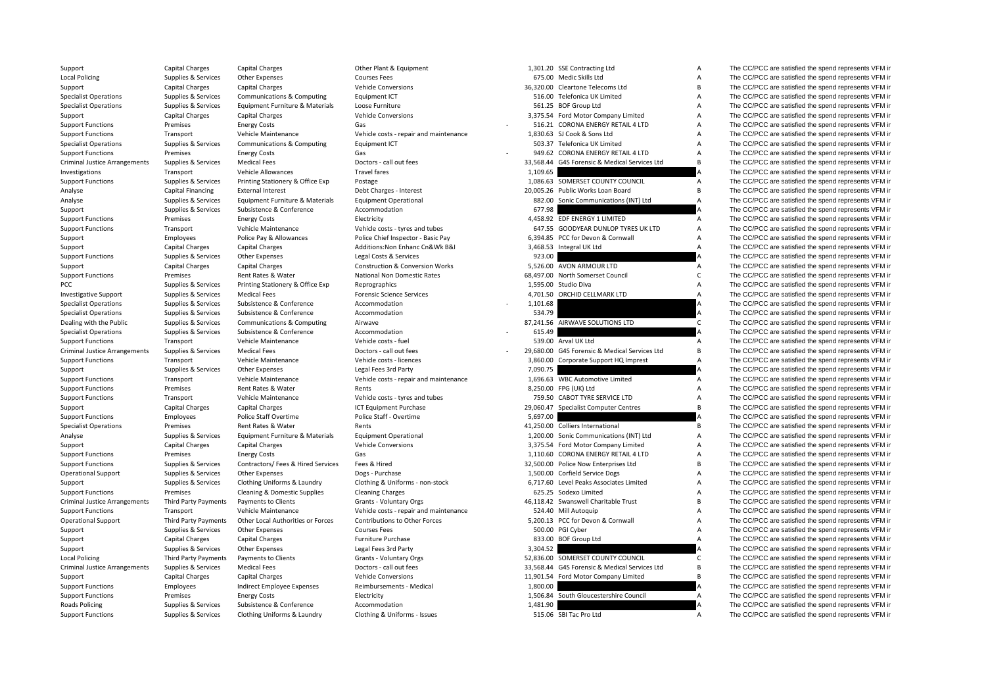| Support                              | Capital Charges             | <b>Capital Charges</b>             | Other Plant & Equipment                    |          | 1,301.20 SSE Contracting Ltd                  | Α              | The CC/PCC are satisfied the spend represents VFM in |
|--------------------------------------|-----------------------------|------------------------------------|--------------------------------------------|----------|-----------------------------------------------|----------------|------------------------------------------------------|
| <b>Local Policing</b>                | Supplies & Services         | <b>Other Expenses</b>              | <b>Courses Fees</b>                        |          | 675.00 Medic Skills Ltd                       | Α              | The CC/PCC are satisfied the spend represents VFM in |
| Support                              | Capital Charges             | <b>Capital Charges</b>             | <b>Vehicle Conversions</b>                 |          | 36.320.00 Cleartone Telecoms Ltd              | B.             | The CC/PCC are satisfied the spend represents VFM in |
| <b>Specialist Operations</b>         | Supplies & Services         | Communications & Computing         | <b>Equipment ICT</b>                       |          | 516.00 Telefonica UK Limited                  | A              | The CC/PCC are satisfied the spend represents VFM in |
| <b>Specialist Operations</b>         | Supplies & Services         | Equipment Furniture & Materials    | Loose Furniture                            |          | 561.25 BOF Group Ltd                          | Α              | The CC/PCC are satisfied the spend represents VFM in |
| Support                              | Capital Charges             | <b>Capital Charges</b>             | <b>Vehicle Conversions</b>                 |          | 3,375.54 Ford Motor Company Limited           | Α              | The CC/PCC are satisfied the spend represents VFM in |
| <b>Support Functions</b>             | Premises                    | <b>Energy Costs</b>                | Gas                                        |          | 516.21 CORONA ENERGY RETAIL 4 LTD             | A              | The CC/PCC are satisfied the spend represents VFM ir |
| <b>Support Functions</b>             | Transport                   | Vehicle Maintenance                | Vehicle costs - repair and maintenance     |          | 1,830.63 SJ Cook & Sons Ltd                   | Α              | The CC/PCC are satisfied the spend represents VFM in |
|                                      |                             |                                    |                                            |          |                                               |                |                                                      |
| <b>Specialist Operations</b>         | Supplies & Services         | Communications & Computing         | Equipment ICT                              |          | 503.37 Telefonica UK Limited                  | A              | The CC/PCC are satisfied the spend represents VFM in |
| <b>Support Functions</b>             | Premises                    | <b>Energy Costs</b>                | Gas                                        |          | 949.62 CORONA ENERGY RETAIL 4 LTD             | A              | The CC/PCC are satisfied the spend represents VFM in |
| <b>Criminal Justice Arrangements</b> | Supplies & Services         | <b>Medical Fees</b>                | Doctors - call out fees                    |          | 33,568.44 G4S Forensic & Medical Services Ltd | B              | The CC/PCC are satisfied the spend represents VFM in |
| Investigations                       | Transport                   | Vehicle Allowances                 | <b>Travel fares</b>                        | 1.109.65 |                                               |                | The CC/PCC are satisfied the spend represents VFM in |
| <b>Support Functions</b>             | Supplies & Services         | Printing Stationery & Office Exp   | Postage                                    |          | 1,086.63 SOMERSET COUNTY COUNCIL              | A              | The CC/PCC are satisfied the spend represents VFM in |
| Analyse                              | Capital Financing           | <b>External Interest</b>           | Debt Charges - Interest                    |          | 20,005.26 Public Works Loan Board             | B              | The CC/PCC are satisfied the spend represents VFM in |
| Analyse                              | Supplies & Services         | Equipment Furniture & Materials    | <b>Equipment Operational</b>               |          | 882.00 Sonic Communications (INT) Ltd         | A              | The CC/PCC are satisfied the spend represents VFM in |
| Support                              | Supplies & Services         | Subsistence & Conference           | Accommodation                              | 677.98   |                                               |                | The CC/PCC are satisfied the spend represents VFM in |
| <b>Support Functions</b>             | Premises                    | <b>Energy Costs</b>                | Electricity                                |          | 4,458.92 EDF ENERGY 1 LIMITED                 | Α              | The CC/PCC are satisfied the spend represents VFM in |
| <b>Support Functions</b>             | Transport                   | Vehicle Maintenance                | Vehicle costs - tyres and tubes            |          | 647.55 GOODYEAR DUNLOP TYRES UK LTD           | A              | The CC/PCC are satisfied the spend represents VFM in |
| Support                              | Employees                   | Police Pay & Allowances            | Police Chief Inspector - Basic Pay         |          | 6,394.85 PCC for Devon & Cornwall             | Α              | The CC/PCC are satisfied the spend represents VFM in |
| Support                              | Capital Charges             | <b>Capital Charges</b>             | Additions: Non Enhanc Cn&Wk B&I            |          | 3,468.53 Integral UK Ltd                      | A              | The CC/PCC are satisfied the spend represents VFM in |
| <b>Support Functions</b>             | Supplies & Services         | Other Expenses                     | Legal Costs & Services                     | 923.00   |                                               |                | The CC/PCC are satisfied the spend represents VFM in |
| Support                              | Capital Charges             | <b>Capital Charges</b>             | <b>Construction &amp; Conversion Works</b> |          | 5.526.00 AVON ARMOUR LTD                      | A              | The CC/PCC are satisfied the spend represents VFM in |
|                                      |                             |                                    | National Non Domestic Rates                |          | 68.497.00 North Somerset Council              | $\mathsf{C}$   |                                                      |
| <b>Support Functions</b>             | Premises                    | Rent Rates & Water                 |                                            |          |                                               |                | The CC/PCC are satisfied the spend represents VFM in |
| PCC                                  | Supplies & Services         | Printing Stationery & Office Exp   | Reprographics                              |          | 1.595.00 Studio Diva                          | A              | The CC/PCC are satisfied the spend represents VFM in |
| <b>Investigative Support</b>         | Supplies & Services         | <b>Medical Fees</b>                | <b>Forensic Science Services</b>           |          | 4,701.50 ORCHID CELLMARK LTD                  | A              | The CC/PCC are satisfied the spend represents VFM ir |
| <b>Specialist Operations</b>         | Supplies & Services         | Subsistence & Conference           | Accommodation                              | 1,101.68 |                                               |                | The CC/PCC are satisfied the spend represents VFM in |
| <b>Specialist Operations</b>         | Supplies & Services         | Subsistence & Conference           | Accommodation                              | 534.79   |                                               |                | The CC/PCC are satisfied the spend represents VFM in |
| Dealing with the Public              | Supplies & Services         | Communications & Computing         | Airwave                                    |          | 87,241.56 AIRWAVE SOLUTIONS LTD               | $\mathsf{C}$   | The CC/PCC are satisfied the spend represents VFM in |
| <b>Specialist Operations</b>         | Supplies & Services         | Subsistence & Conference           | Accommodation                              | 615.49   |                                               |                | The CC/PCC are satisfied the spend represents VFM ir |
| <b>Support Functions</b>             | Transport                   | Vehicle Maintenance                | Vehicle costs - fuel                       |          | 539.00 Arval UK Ltd                           | A              | The CC/PCC are satisfied the spend represents VFM in |
| <b>Criminal Justice Arrangements</b> | Supplies & Services         | <b>Medical Fees</b>                | Doctors - call out fees                    |          | 29.680.00 G4S Forensic & Medical Services Ltd | B              | The CC/PCC are satisfied the spend represents VFM in |
| <b>Support Functions</b>             | Transport                   | Vehicle Maintenance                | Vehicle costs - licences                   |          | 3,860.00 Corporate Support HQ Imprest         | A              | The CC/PCC are satisfied the spend represents VFM in |
| Support                              | Supplies & Services         | Other Expenses                     | Legal Fees 3rd Party                       | 7,090.75 |                                               |                | The CC/PCC are satisfied the spend represents VFM in |
| <b>Support Functions</b>             | Transport                   | Vehicle Maintenance                | Vehicle costs - repair and maintenance     |          | 1,696.63 WBC Automotive Limited               | Α              | The CC/PCC are satisfied the spend represents VFM in |
| <b>Support Functions</b>             | Premises                    | Rent Rates & Water                 | Rents                                      |          | 8,250.00 FPG (UK) Ltd                         | Α              | The CC/PCC are satisfied the spend represents VFM in |
| <b>Support Functions</b>             | Transport                   | Vehicle Maintenance                | Vehicle costs - tyres and tubes            |          | 759.50 CABOT TYRE SERVICE LTD                 | A              | The CC/PCC are satisfied the spend represents VFM ir |
|                                      | Capital Charges             | <b>Capital Charges</b>             | ICT Equipment Purchase                     |          | 29,060.47 Specialist Computer Centres         | <sub>B</sub>   | The CC/PCC are satisfied the spend represents VFM in |
| Support                              |                             |                                    |                                            |          |                                               |                |                                                      |
| <b>Support Functions</b>             | Employees                   | Police Staff Overtime              | Police Staff - Overtime                    | 5,697.00 |                                               |                | The CC/PCC are satisfied the spend represents VFM in |
| <b>Specialist Operations</b>         | Premises                    | Rent Rates & Water                 | Rents                                      |          | 41,250.00 Colliers International              | B              | The CC/PCC are satisfied the spend represents VFM in |
| Analyse                              | Supplies & Services         | Equipment Furniture & Materials    | <b>Equipment Operational</b>               |          | 1,200.00 Sonic Communications (INT) Ltd       | Α              | The CC/PCC are satisfied the spend represents VFM in |
| Support                              | Capital Charges             | <b>Capital Charges</b>             | <b>Vehicle Conversions</b>                 |          | 3,375.54 Ford Motor Company Limited           | A              | The CC/PCC are satisfied the spend represents VFM in |
| <b>Support Functions</b>             | Premises                    | <b>Energy Costs</b>                | Gas                                        |          | 1,110.60 CORONA ENERGY RETAIL 4 LTD           | Α              | The CC/PCC are satisfied the spend represents VFM in |
| <b>Support Functions</b>             | Supplies & Services         | Contractors/ Fees & Hired Services | Fees & Hired                               |          | 32,500.00 Police Now Enterprises Ltd          | B              | The CC/PCC are satisfied the spend represents VFM ir |
| <b>Operational Support</b>           | Supplies & Services         | Other Expenses                     | Dogs - Purchase                            |          | 1,500.00 Corfield Service Dogs                | Α              | The CC/PCC are satisfied the spend represents VFM in |
| Support                              | Supplies & Services         | Clothing Uniforms & Laundry        | Clothing & Uniforms - non-stock            |          | 6,717.60 Level Peaks Associates Limited       | A              | The CC/PCC are satisfied the spend represents VFM in |
| <b>Support Functions</b>             | Premises                    | Cleaning & Domestic Supplies       | <b>Cleaning Charges</b>                    |          | 625.25 Sodexo Limited                         | Α              | The CC/PCC are satisfied the spend represents VFM ir |
| <b>Criminal Justice Arrangements</b> | Third Party Payments        | Payments to Clients                | Grants - Voluntary Orgs                    |          | 46,118.42 Swanswell Charitable Trust          | B              | The CC/PCC are satisfied the spend represents VFM ir |
| <b>Support Functions</b>             | Transport                   | Vehicle Maintenance                | Vehicle costs - repair and maintenance     |          | 524.40 Mill Autoquip                          | A              | The CC/PCC are satisfied the spend represents VFM in |
| <b>Operational Support</b>           | <b>Third Party Payments</b> | Other Local Authorities or Forces  | Contributions to Other Forces              |          | 5,200.13 PCC for Devon & Cornwall             | A              | The CC/PCC are satisfied the spend represents VFM in |
| Support                              | Supplies & Services         | Other Expenses                     | <b>Courses Fees</b>                        |          | 500.00 PGI Cyber                              | A              | The CC/PCC are satisfied the spend represents VFM in |
| Support                              | Capital Charges             | <b>Capital Charges</b>             | Furniture Purchase                         |          | 833.00 BOF Group Ltd                          | Α              | The CC/PCC are satisfied the spend represents VFM in |
|                                      | Supplies & Services         | Other Expenses                     | Legal Fees 3rd Party                       | 3,304.52 |                                               |                | The CC/PCC are satisfied the spend represents VFM in |
| Support                              |                             |                                    |                                            |          | 52,836.00 SOMERSET COUNTY COUNCIL             | C              |                                                      |
| <b>Local Policing</b>                | <b>Third Party Payments</b> | Payments to Clients                | Grants - Voluntary Orgs                    |          |                                               |                | The CC/PCC are satisfied the spend represents VFM in |
| <b>Criminal Justice Arrangements</b> | Supplies & Services         | <b>Medical Fees</b>                | Doctors - call out fees                    |          | 33,568.44 G4S Forensic & Medical Services Ltd | B              | The CC/PCC are satisfied the spend represents VFM ir |
| Support                              | Capital Charges             | <b>Capital Charges</b>             | <b>Vehicle Conversions</b>                 |          | 11,901.54 Ford Motor Company Limited          | <sub>B</sub>   | The CC/PCC are satisfied the spend represents VFM in |
| <b>Support Functions</b>             | Employees                   | Indirect Employee Expenses         | Reimbursements - Medical                   | 1,800.00 |                                               |                | The CC/PCC are satisfied the spend represents VFM in |
| <b>Support Functions</b>             | Premises                    | <b>Energy Costs</b>                | Electricity                                |          | 1,506.84 South Gloucestershire Council        | $\overline{A}$ | The CC/PCC are satisfied the spend represents VFM in |
| <b>Roads Policing</b>                | Supplies & Services         | Subsistence & Conference           | Accommodation                              | 1,481.90 |                                               |                | The CC/PCC are satisfied the spend represents VFM in |
| Sunnort Eunctions                    | Supplies & Services         | Clothing Uniforms & Laundry        | Clothing & Uniforms - Issues               |          | 515.06 SRI Tac Dro Itd                        | $\Lambda$      | The CC/PCC are estiglied the spend represents VEM in |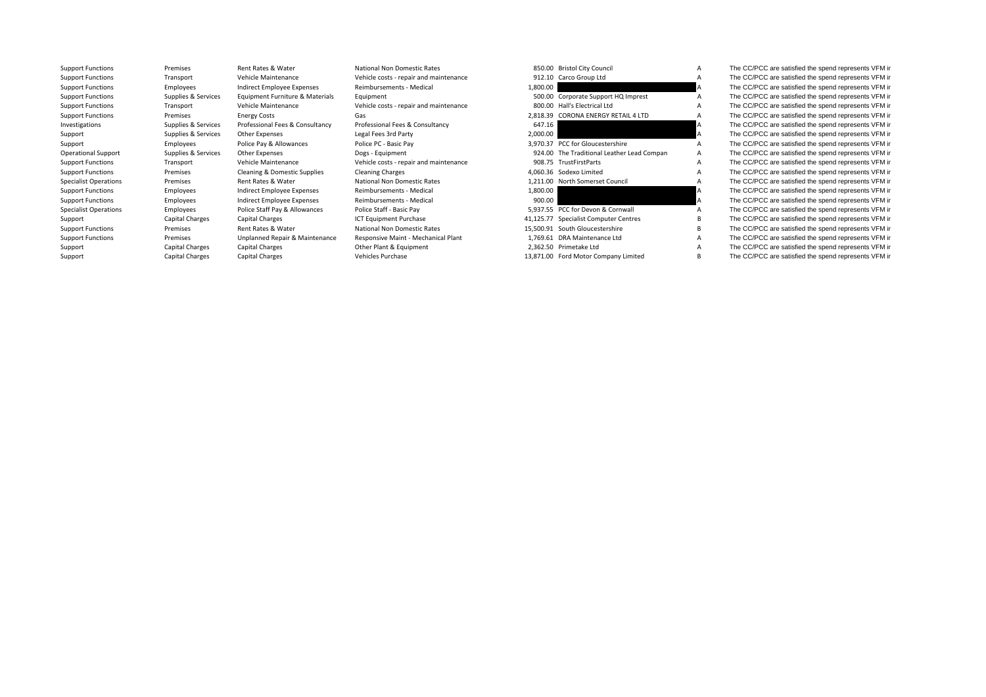| 912.10    | Carco Group Ltd                     |
|-----------|-------------------------------------|
| 1,800.00  |                                     |
| 500.00    | Corporate Support HQ Imprest        |
| 800.00    | Hall's Electrical Ltd               |
| 2,818.39  | <b>CORONA ENERGY RETAIL 4 LTD</b>   |
| 647.16    |                                     |
| 2,000.00  |                                     |
| 3,970.37  | PCC for Gloucestershire             |
| 924.00    | The Traditional Leather Lead Compan |
| 908.75    | <b>TrustFirstParts</b>              |
| 4,060.36  | Sodexo Limited                      |
| 1,211.00  | North Somerset Council              |
| 1,800.00  |                                     |
| 900.00    |                                     |
| 5,937.55  | PCC for Devon & Cornwall            |
| 41,125.77 | <b>Specialist Computer Centres</b>  |
| 15,500.91 | South Gloucestershire               |
| 1,769.61  | <b>DRA Maintenance Ltd</b>          |
| 2,362.50  | Primetake Ltd                       |
| 13,871.00 | Ford Motor Company Limited          |

Support Functions Premises Rent Rates & Water National Non Domestic Rates 850.00 Bristol City Council A The CC/PCC are satisfied the spend represents VFM in<br>Support Functions Transport Vehicle Maintenance Vehicle costs - r Support Functions Transport Vehicle Maintenance Vehicle costs - repair and maintenance 912.10 Carco Group Ltd A The CC/PCC are satisfied the spend represents VFM in Support Functions Employees Indirect Employee Expenses Reimbursements - Medical 1,800.00 A The CC/PCC are satisfied the spend represents VFM in Support Functions Support Functions Support Functions Support Equipment in Sup Support Functions Supplies & Services Equipment Furniture & Materials Equipment Support Functions Support HQ Imprest Support HQ Imprest A The CC/PCC are satisfied the spend represents VFM in Support Functions Transport Weh Support Support Vehicle Maintenance Vehicle costs - repair and maintenance and the Support Vehicle Costs Functions Costs Costs Functions Costs and maintenance and the Support A The CC/PCC are satisfied the spend represents Support Functions Premises Energy Costs Gas Gas CRONA ENERGY RETAIL 4 LTD A The CC/PCC are satisfied the spend represents VFM in Investigations Supplies & Services Professional Fees & Consultancy Professional Fees & Consultancy Professional Fees & Consultancy 647.16 647.16 A The CC/PCC are satisfied the spend represents VFM in Support Supplies & Services Other Expenses Legal Fees 3rd Party 2,000.00 2000.00 Cass 2,000.00 Support A The CC/PCC are satisfied the spend represents VFM in Support Cass of Party 1,970.37 PCC for Support Cass of the SC/PC Support Employees Police Pay & Allowances Police PC · Basic Pay 3,970.37 PCC for Gloucestershire A The CC/PCC are satisfied the spend represents VFM in Operational Support Supplies & Services Other Expenses Dogs - Equipment Dogs - Equipment 924.00 The Traditional Leather Lead Compan A The CC/PCC are satisfied the spend represents VFM in Support Functions Transport Vehicle Maintenance Vehicle costs - repair and maintenance 908.75 TrustFirstParts A The CC/PCC are satisfied the spend represents VFM in Support Functions Support Functions Premises Cleaning & Domestic Supplies Cleaning Charges Cleaning Charges A Comes A The CC/PCC are satisfied the spend represents VFM in<br>A The CC/PCC are satisfied the spend represents VFM Specialist Operations Premises Rent Rates & Water National Non Domestic Rates 1,211.00 North Somerset Council A The CC/PCC are satisfied the spend represents VFM in Support Functions Employees Indirect Employee Expenses Reimbursements - Medical 1,800.00 A The CC/PCC are satisfied the spend represents VFM in<br>Support Functions Support The CC/PCC are satisfied the spend represents VFM in Support Functions Employees Indirect Employee Expenses Reimbursements - Medical 900.00 900.00 A The CC/PCC are satisfied the spend represents VFM in Specialist Operations Employees Police Staff Pay & Allowances Police Staff - Basic Pay Face Pay 5,937.55 PCC for Devon & Cornwall A The CC/PCC are satisfied the spend represents VFM in Superations Capital Charges Capital C The CC/PCC are satisfied the spend represents VFM in Support Functions Premises Premises Rent Rates & Water National Non Domestic Rates 15,500.91 South Gloucestershire B The CC/PCC are satisfied the spend represents VFM in Support Functions Premises Dunlanned Reprint Respons Support Functions Premises Unplanned Repair & Maintenance Responsive Maint - Mechanical Plant 1,769.61 DRA Maintenance Ltd A The CC/PCC are satisfied the spend represents VFM in Support Capital Changes Capital Changes Capi Support Capital Charges Capital Charges Capital Charges Other Plant & Equipment 2,362.50 Primetake Ltd A The CC/PCC are satisfied the spend represents VFM in Support Capital Charges Capital Charges Vehicles Purchase Vehicles Purchase 13,871.00 Ford Motor Company Limited B The CC/PCC are satisfied the spend represents VFM in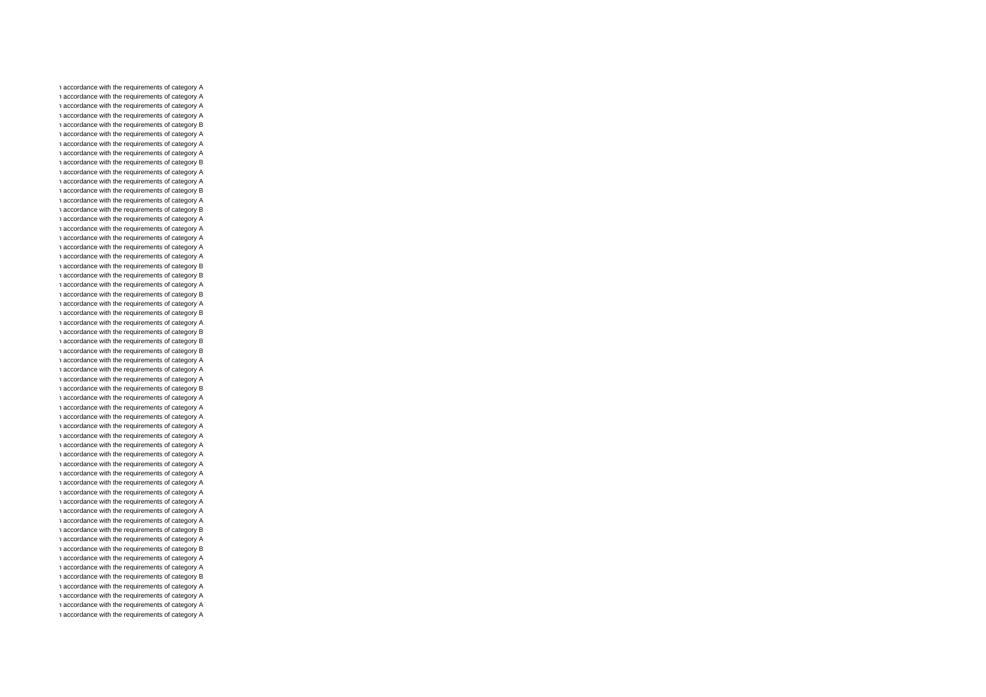n accordance with the requirements of category A n accordance with the requirements of category A n accordance with the requirements of category A n accordance with the requirements of category A n accordance with the requirements of category B n accordance with the requirements of category A n accordance with the requirements of category A n accordance with the requirements of category A n accordance with the requirements of category B n accordance with the requirements of category A n accordance with the requirements of category A n accordance with the requirements of category B n accordance with the requirements of category A n accordance with the requirements of category B n accordance with the requirements of category A n accordance with the requirements of category A n accordance with the requirements of category A n accordance with the requirements of category A n accordance with the requirements of category A n accordance with the requirements of category B n accordance with the requirements of category B n accordance with the requirements of category A n accordance with the requirements of category B n accordance with the requirements of category A n accordance with the requirements of category B n accordance with the requirements of category A n accordance with the requirements of category B n accordance with the requirements of category B n accordance with the requirements of category B n accordance with the requirements of category A n accordance with the requirements of category A n accordance with the requirements of category A n accordance with the requirements of category B n accordance with the requirements of category A n accordance with the requirements of category A n accordance with the requirements of category A n accordance with the requirements of category A n accordance with the requirements of category A n accordance with the requirements of category A n accordance with the requirements of category A n accordance with the requirements of category A n accordance with the requirements of category A n accordance with the requirements of category A n accordance with the requirements of category A n accordance with the requirements of category A n accordance with the requirements of category A n accordance with the requirements of category A n accordance with the requirements of category B n accordance with the requirements of category A n accordance with the requirements of category B n accordance with the requirements of category A n accordance with the requirements of category A n accordance with the requirements of category B n accordance with the requirements of category A n accordance with the requirements of category A n accordance with the requirements of category A n accordance with the requirements of category A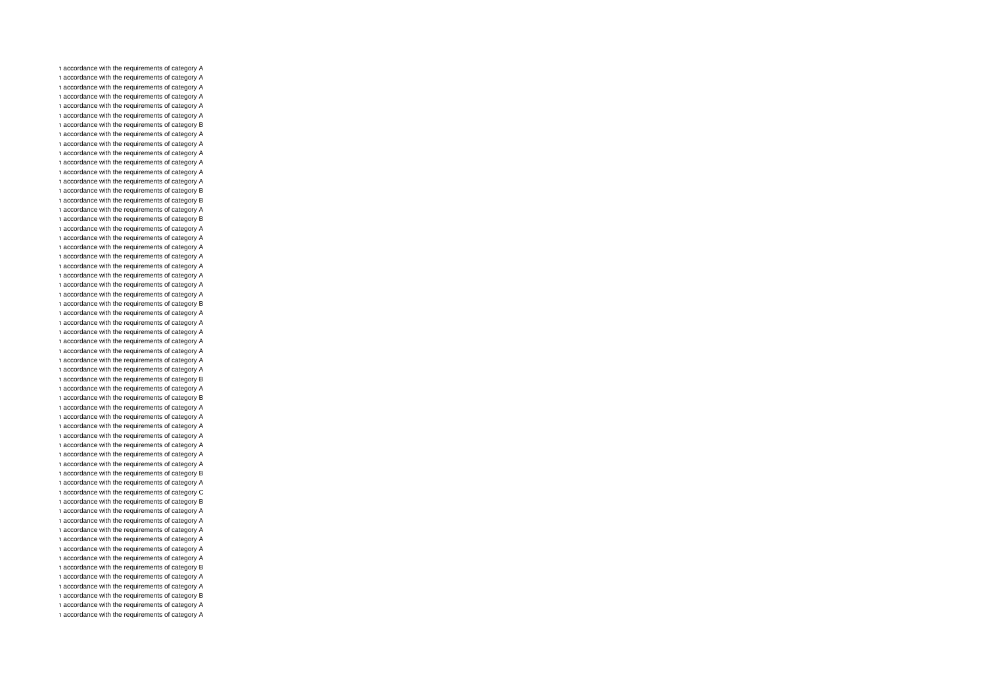n accordance with the requirements of category A n accordance with the requirements of category A n accordance with the requirements of category A n accordance with the requirements of category A n accordance with the requirements of category A n accordance with the requirements of category A n accordance with the requirements of category B n accordance with the requirements of category A n accordance with the requirements of category A n accordance with the requirements of category A n accordance with the requirements of category A n accordance with the requirements of category A n accordance with the requirements of category A n accordance with the requirements of category B n accordance with the requirements of category B n accordance with the requirements of category A n accordance with the requirements of category B n accordance with the requirements of category A n accordance with the requirements of category A n accordance with the requirements of category A n accordance with the requirements of category A n accordance with the requirements of category A n accordance with the requirements of category A n accordance with the requirements of category A n accordance with the requirements of category A n accordance with the requirements of category B n accordance with the requirements of category A n accordance with the requirements of category A n accordance with the requirements of category A n accordance with the requirements of category A n accordance with the requirements of category A n accordance with the requirements of category A n accordance with the requirements of category A n accordance with the requirements of category B n accordance with the requirements of category A n accordance with the requirements of category B n accordance with the requirements of category A n accordance with the requirements of category A n accordance with the requirements of category A n accordance with the requirements of category A n accordance with the requirements of category A n accordance with the requirements of category A n accordance with the requirements of category A n accordance with the requirements of category B n accordance with the requirements of category A n accordance with the requirements of category C n accordance with the requirements of category B n accordance with the requirements of category A n accordance with the requirements of category A n accordance with the requirements of category A n accordance with the requirements of category A n accordance with the requirements of category A n accordance with the requirements of category A n accordance with the requirements of category B n accordance with the requirements of category A n accordance with the requirements of category A n accordance with the requirements of category B n accordance with the requirements of category A n accordance with the requirements of category A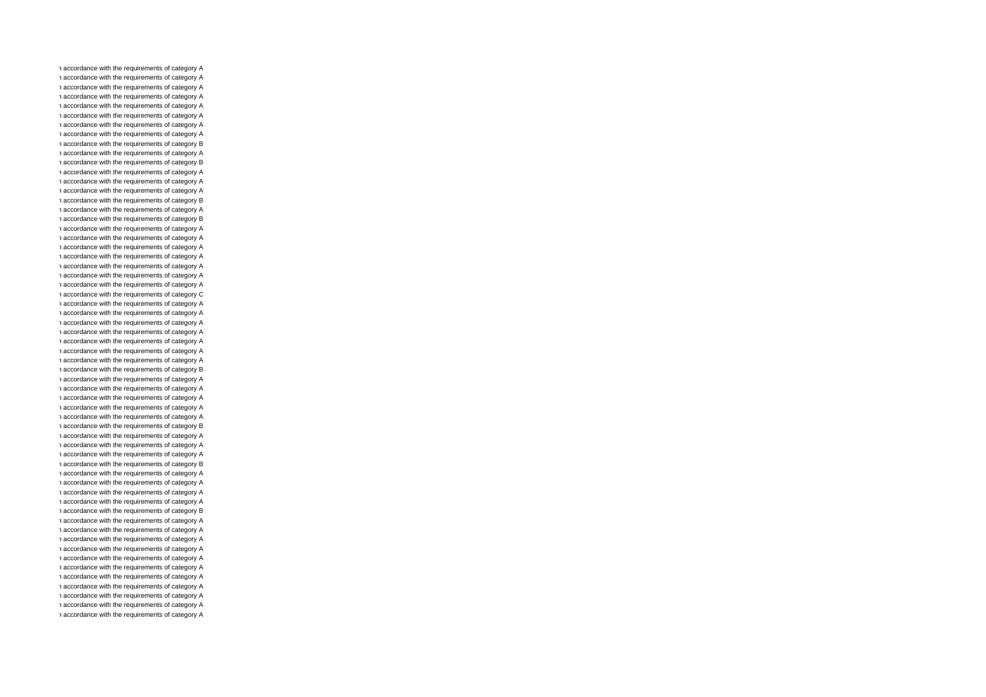n accordance with the requirements of category A n accordance with the requirements of category A n accordance with the requirements of category A n accordance with the requirements of category A n accordance with the requirements of category A n accordance with the requirements of category A n accordance with the requirements of category A n accordance with the requirements of category A n accordance with the requirements of category B n accordance with the requirements of category A n accordance with the requirements of category B n accordance with the requirements of category A n accordance with the requirements of category A n accordance with the requirements of category A n accordance with the requirements of category B n accordance with the requirements of category A n accordance with the requirements of category B n accordance with the requirements of category A n accordance with the requirements of category A n accordance with the requirements of category A n accordance with the requirements of category A n accordance with the requirements of category A n accordance with the requirements of category A n accordance with the requirements of category A n accordance with the requirements of category C n accordance with the requirements of category A n accordance with the requirements of category A n accordance with the requirements of category A n accordance with the requirements of category A n accordance with the requirements of category A n accordance with the requirements of category A n accordance with the requirements of category A n accordance with the requirements of category B n accordance with the requirements of category A n accordance with the requirements of category A n accordance with the requirements of category A n accordance with the requirements of category A n accordance with the requirements of category A n accordance with the requirements of category B n accordance with the requirements of category A n accordance with the requirements of category A n accordance with the requirements of category A n accordance with the requirements of category B n accordance with the requirements of category A n accordance with the requirements of category A n accordance with the requirements of category A n accordance with the requirements of category A n accordance with the requirements of category B n accordance with the requirements of category A n accordance with the requirements of category A n accordance with the requirements of category A n accordance with the requirements of category A n accordance with the requirements of category A n accordance with the requirements of category A n accordance with the requirements of category A n accordance with the requirements of category A n accordance with the requirements of category A n accordance with the requirements of category A n accordance with the requirements of category A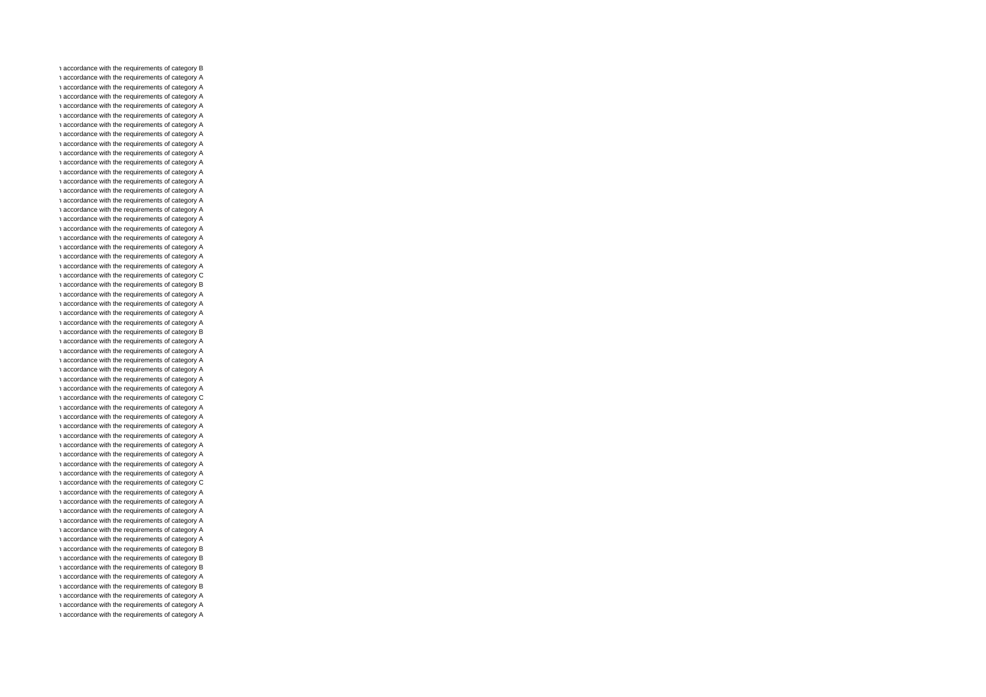n accordance with the requirements of category B n accordance with the requirements of category A n accordance with the requirements of category A n accordance with the requirements of category A n accordance with the requirements of category A n accordance with the requirements of category A n accordance with the requirements of category A n accordance with the requirements of category A n accordance with the requirements of category A n accordance with the requirements of category A n accordance with the requirements of category A n accordance with the requirements of category A n accordance with the requirements of category A n accordance with the requirements of category A n accordance with the requirements of category A n accordance with the requirements of category A n accordance with the requirements of category A n accordance with the requirements of category A n accordance with the requirements of category A n accordance with the requirements of category A n accordance with the requirements of category A n accordance with the requirements of category A n accordance with the requirements of category C n accordance with the requirements of category B n accordance with the requirements of category A n accordance with the requirements of category A n accordance with the requirements of category A n accordance with the requirements of category A n accordance with the requirements of category B n accordance with the requirements of category A n accordance with the requirements of category A n accordance with the requirements of category A n accordance with the requirements of category A n accordance with the requirements of category A n accordance with the requirements of category A n accordance with the requirements of category C n accordance with the requirements of category A n accordance with the requirements of category A n accordance with the requirements of category A n accordance with the requirements of category A n accordance with the requirements of category A n accordance with the requirements of category A n accordance with the requirements of category A n accordance with the requirements of category A n accordance with the requirements of category C n accordance with the requirements of category A n accordance with the requirements of category A n accordance with the requirements of category A n accordance with the requirements of category A n accordance with the requirements of category A n accordance with the requirements of category A n accordance with the requirements of category B n accordance with the requirements of category B n accordance with the requirements of category B n accordance with the requirements of category A n accordance with the requirements of category B n accordance with the requirements of category A n accordance with the requirements of category A n accordance with the requirements of category A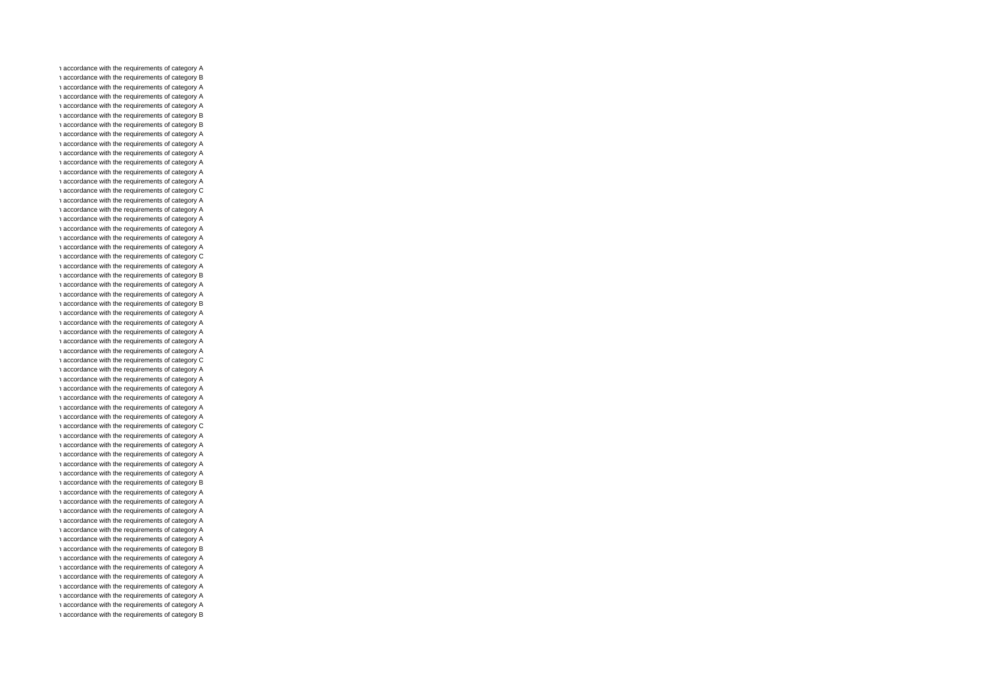n accordance with the requirements of category A n accordance with the requirements of category B n accordance with the requirements of category A n accordance with the requirements of category A n accordance with the requirements of category A n accordance with the requirements of category B n accordance with the requirements of category B n accordance with the requirements of category A n accordance with the requirements of category A n accordance with the requirements of category A n accordance with the requirements of category A n accordance with the requirements of category A n accordance with the requirements of category A n accordance with the requirements of category C n accordance with the requirements of category A n accordance with the requirements of category A n accordance with the requirements of category A n accordance with the requirements of category A n accordance with the requirements of category A n accordance with the requirements of category A n accordance with the requirements of category C n accordance with the requirements of category A n accordance with the requirements of category B n accordance with the requirements of category A n accordance with the requirements of category A n accordance with the requirements of category B n accordance with the requirements of category A n accordance with the requirements of category A n accordance with the requirements of category A n accordance with the requirements of category A n accordance with the requirements of category A n accordance with the requirements of category C n accordance with the requirements of category A n accordance with the requirements of category A n accordance with the requirements of category A n accordance with the requirements of category A n accordance with the requirements of category A n accordance with the requirements of category A n accordance with the requirements of category C n accordance with the requirements of category A n accordance with the requirements of category A n accordance with the requirements of category A n accordance with the requirements of category A n accordance with the requirements of category A n accordance with the requirements of category B n accordance with the requirements of category A n accordance with the requirements of category A n accordance with the requirements of category A n accordance with the requirements of category A n accordance with the requirements of category A n accordance with the requirements of category A n accordance with the requirements of category B n accordance with the requirements of category A n accordance with the requirements of category A n accordance with the requirements of category A n accordance with the requirements of category A n accordance with the requirements of category A n accordance with the requirements of category A n accordance with the requirements of category B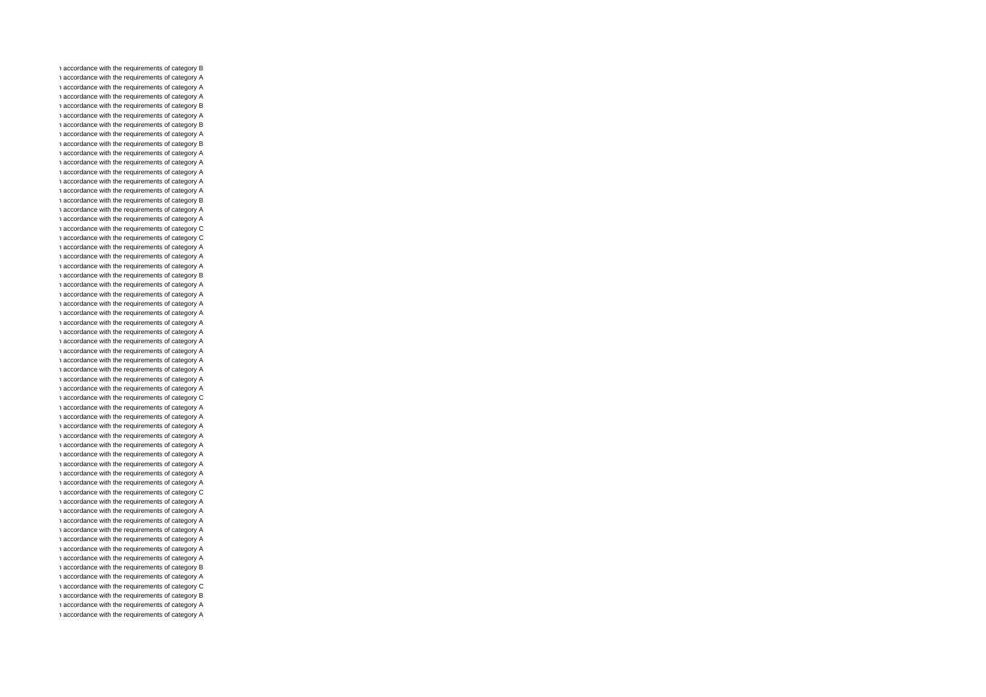n accordance with the requirements of category B n accordance with the requirements of category A n accordance with the requirements of category A n accordance with the requirements of category A n accordance with the requirements of category B n accordance with the requirements of category A n accordance with the requirements of category B n accordance with the requirements of category A n accordance with the requirements of category B n accordance with the requirements of category A n accordance with the requirements of category A n accordance with the requirements of category A n accordance with the requirements of category A n accordance with the requirements of category A n accordance with the requirements of category B n accordance with the requirements of category A n accordance with the requirements of category A n accordance with the requirements of category C n accordance with the requirements of category C n accordance with the requirements of category A n accordance with the requirements of category A n accordance with the requirements of category A n accordance with the requirements of category B n accordance with the requirements of category A n accordance with the requirements of category A n accordance with the requirements of category A n accordance with the requirements of category A n accordance with the requirements of category A n accordance with the requirements of category A n accordance with the requirements of category A n accordance with the requirements of category A n accordance with the requirements of category A n accordance with the requirements of category A n accordance with the requirements of category A n accordance with the requirements of category A n accordance with the requirements of category C n accordance with the requirements of category A n accordance with the requirements of category A n accordance with the requirements of category A n accordance with the requirements of category A n accordance with the requirements of category A n accordance with the requirements of category A n accordance with the requirements of category A n accordance with the requirements of category A n accordance with the requirements of category A n accordance with the requirements of category C n accordance with the requirements of category A n accordance with the requirements of category A n accordance with the requirements of category A n accordance with the requirements of category A n accordance with the requirements of category A n accordance with the requirements of category A n accordance with the requirements of category A n accordance with the requirements of category B n accordance with the requirements of category A n accordance with the requirements of category C n accordance with the requirements of category B n accordance with the requirements of category A n accordance with the requirements of category A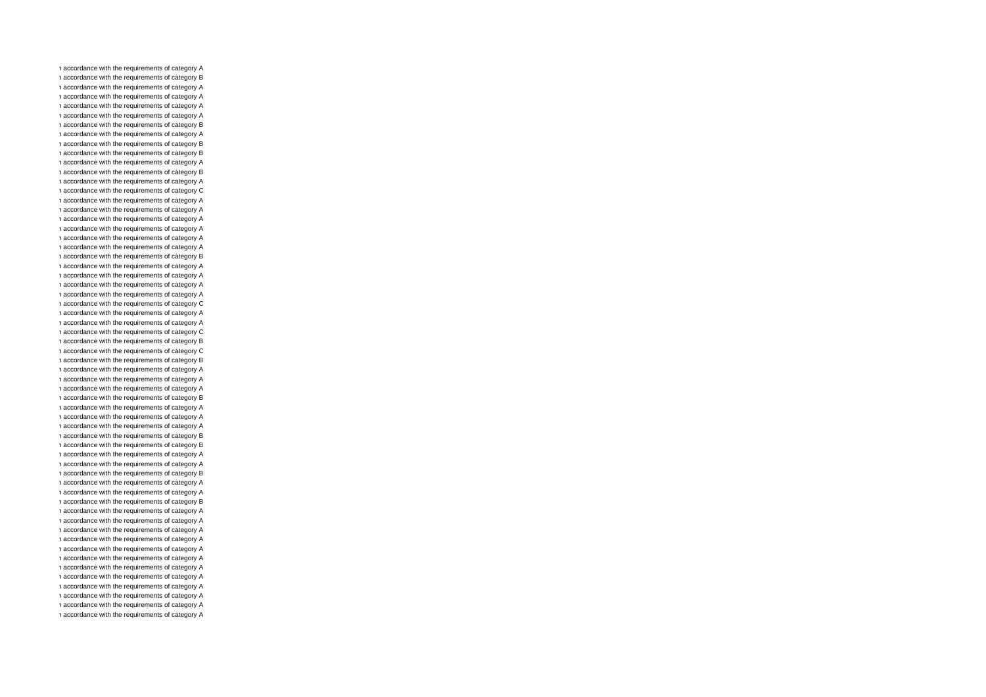n accordance with the requirements of category A n accordance with the requirements of category B n accordance with the requirements of category A n accordance with the requirements of category A n accordance with the requirements of category A n accordance with the requirements of category A n accordance with the requirements of category B n accordance with the requirements of category A n accordance with the requirements of category B n accordance with the requirements of category B n accordance with the requirements of category A n accordance with the requirements of category B n accordance with the requirements of category A n accordance with the requirements of category C n accordance with the requirements of category A n accordance with the requirements of category A n accordance with the requirements of category A n accordance with the requirements of category A n accordance with the requirements of category A n accordance with the requirements of category A n accordance with the requirements of category B n accordance with the requirements of category A n accordance with the requirements of category A n accordance with the requirements of category A n accordance with the requirements of category A n accordance with the requirements of category C n accordance with the requirements of category A n accordance with the requirements of category A n accordance with the requirements of category C n accordance with the requirements of category B n accordance with the requirements of category C n accordance with the requirements of category B n accordance with the requirements of category A n accordance with the requirements of category A n accordance with the requirements of category A n accordance with the requirements of category B n accordance with the requirements of category A n accordance with the requirements of category A n accordance with the requirements of category A n accordance with the requirements of category B n accordance with the requirements of category B n accordance with the requirements of category A n accordance with the requirements of category A n accordance with the requirements of category B n accordance with the requirements of category A n accordance with the requirements of category A n accordance with the requirements of category B n accordance with the requirements of category A n accordance with the requirements of category A n accordance with the requirements of category A n accordance with the requirements of category A n accordance with the requirements of category A n accordance with the requirements of category A n accordance with the requirements of category A n accordance with the requirements of category A n accordance with the requirements of category A n accordance with the requirements of category A n accordance with the requirements of category A n accordance with the requirements of category A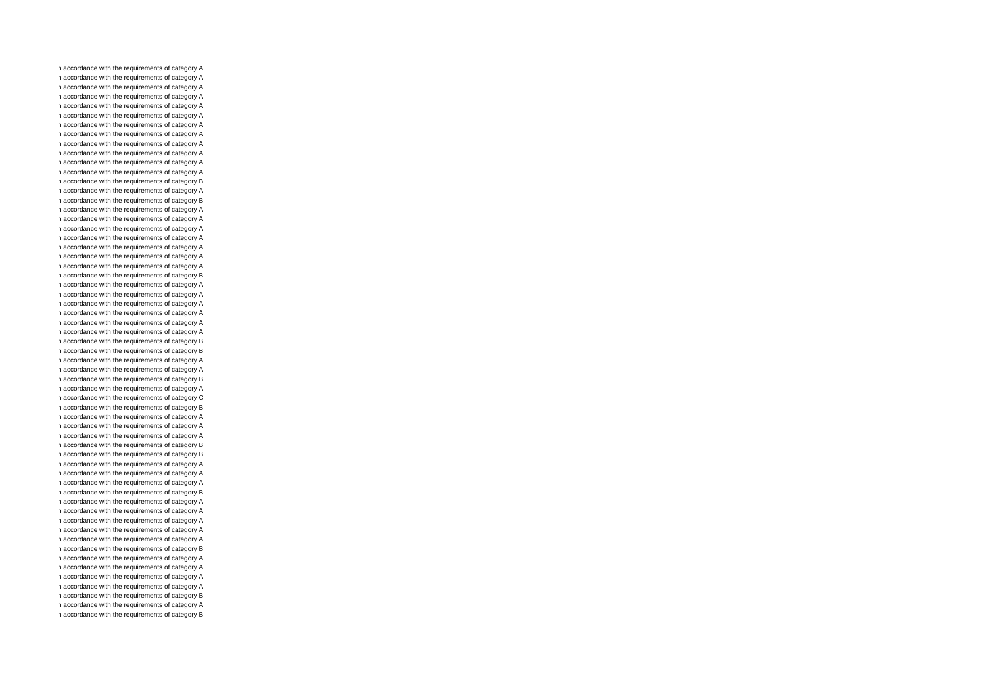n accordance with the requirements of category A n accordance with the requirements of category A n accordance with the requirements of category A n accordance with the requirements of category A n accordance with the requirements of category A n accordance with the requirements of category A n accordance with the requirements of category A n accordance with the requirements of category A n accordance with the requirements of category A n accordance with the requirements of category A n accordance with the requirements of category A n accordance with the requirements of category A n accordance with the requirements of category B n accordance with the requirements of category A n accordance with the requirements of category B n accordance with the requirements of category A n accordance with the requirements of category A n accordance with the requirements of category A n accordance with the requirements of category A n accordance with the requirements of category A n accordance with the requirements of category A n accordance with the requirements of category A n accordance with the requirements of category B n accordance with the requirements of category A n accordance with the requirements of category A n accordance with the requirements of category A n accordance with the requirements of category A n accordance with the requirements of category A n accordance with the requirements of category A n accordance with the requirements of category B n accordance with the requirements of category B n accordance with the requirements of category A n accordance with the requirements of category A n accordance with the requirements of category B n accordance with the requirements of category A n accordance with the requirements of category C n accordance with the requirements of category B n accordance with the requirements of category A n accordance with the requirements of category A n accordance with the requirements of category A n accordance with the requirements of category B n accordance with the requirements of category B n accordance with the requirements of category A n accordance with the requirements of category A n accordance with the requirements of category A n accordance with the requirements of category B n accordance with the requirements of category A n accordance with the requirements of category A n accordance with the requirements of category A n accordance with the requirements of category A n accordance with the requirements of category A n accordance with the requirements of category B n accordance with the requirements of category A n accordance with the requirements of category A n accordance with the requirements of category A n accordance with the requirements of category A n accordance with the requirements of category B n accordance with the requirements of category A n accordance with the requirements of category B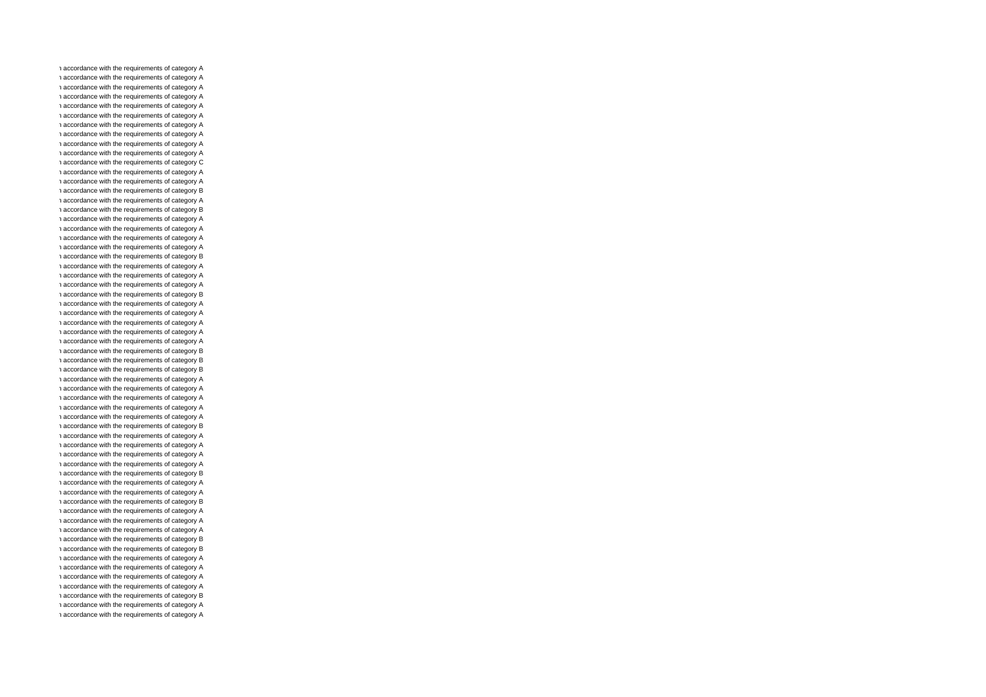n accordance with the requirements of category A n accordance with the requirements of category A n accordance with the requirements of category A n accordance with the requirements of category A n accordance with the requirements of category A n accordance with the requirements of category A n accordance with the requirements of category A n accordance with the requirements of category A n accordance with the requirements of category A n accordance with the requirements of category A n accordance with the requirements of category C n accordance with the requirements of category A n accordance with the requirements of category A n accordance with the requirements of category B n accordance with the requirements of category A n accordance with the requirements of category B n accordance with the requirements of category A n accordance with the requirements of category A n accordance with the requirements of category A n accordance with the requirements of category A n accordance with the requirements of category B n accordance with the requirements of category A n accordance with the requirements of category A n accordance with the requirements of category A n accordance with the requirements of category B n accordance with the requirements of category A n accordance with the requirements of category A n accordance with the requirements of category A n accordance with the requirements of category A n accordance with the requirements of category A n accordance with the requirements of category B n accordance with the requirements of category B n accordance with the requirements of category B n accordance with the requirements of category A n accordance with the requirements of category A n accordance with the requirements of category A n accordance with the requirements of category A n accordance with the requirements of category A n accordance with the requirements of category B n accordance with the requirements of category A n accordance with the requirements of category A n accordance with the requirements of category A n accordance with the requirements of category A n accordance with the requirements of category B n accordance with the requirements of category A n accordance with the requirements of category A n accordance with the requirements of category B n accordance with the requirements of category A n accordance with the requirements of category A n accordance with the requirements of category A n accordance with the requirements of category B n accordance with the requirements of category B n accordance with the requirements of category A n accordance with the requirements of category A n accordance with the requirements of category A n accordance with the requirements of category A n accordance with the requirements of category B n accordance with the requirements of category A n accordance with the requirements of category A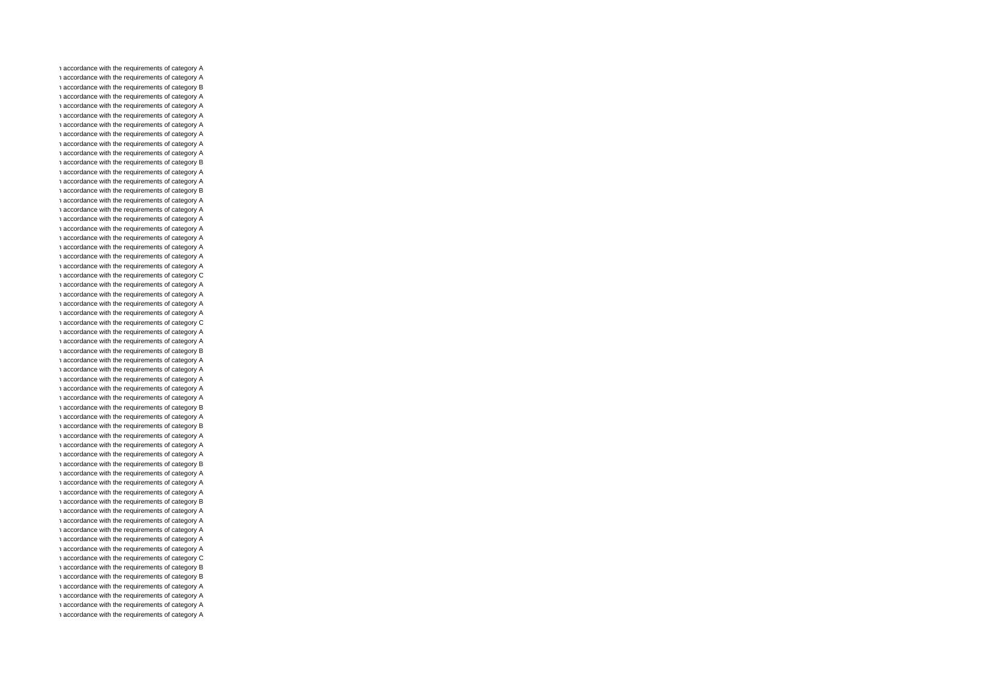n accordance with the requirements of category A n accordance with the requirements of category A n accordance with the requirements of category B n accordance with the requirements of category A n accordance with the requirements of category A n accordance with the requirements of category A n accordance with the requirements of category A n accordance with the requirements of category A n accordance with the requirements of category A n accordance with the requirements of category A n accordance with the requirements of category B n accordance with the requirements of category A n accordance with the requirements of category A n accordance with the requirements of category B n accordance with the requirements of category A n accordance with the requirements of category A n accordance with the requirements of category A n accordance with the requirements of category A n accordance with the requirements of category A n accordance with the requirements of category A n accordance with the requirements of category A n accordance with the requirements of category A n accordance with the requirements of category C n accordance with the requirements of category A n accordance with the requirements of category A n accordance with the requirements of category A n accordance with the requirements of category A n accordance with the requirements of category C n accordance with the requirements of category A n accordance with the requirements of category A n accordance with the requirements of category B n accordance with the requirements of category A n accordance with the requirements of category A n accordance with the requirements of category A n accordance with the requirements of category A n accordance with the requirements of category A n accordance with the requirements of category B n accordance with the requirements of category A n accordance with the requirements of category B n accordance with the requirements of category A n accordance with the requirements of category A n accordance with the requirements of category A n accordance with the requirements of category B n accordance with the requirements of category A n accordance with the requirements of category A n accordance with the requirements of category A n accordance with the requirements of category B n accordance with the requirements of category A n accordance with the requirements of category A n accordance with the requirements of category A n accordance with the requirements of category A n accordance with the requirements of category A n accordance with the requirements of category C n accordance with the requirements of category B n accordance with the requirements of category B n accordance with the requirements of category A n accordance with the requirements of category A n accordance with the requirements of category A n accordance with the requirements of category A